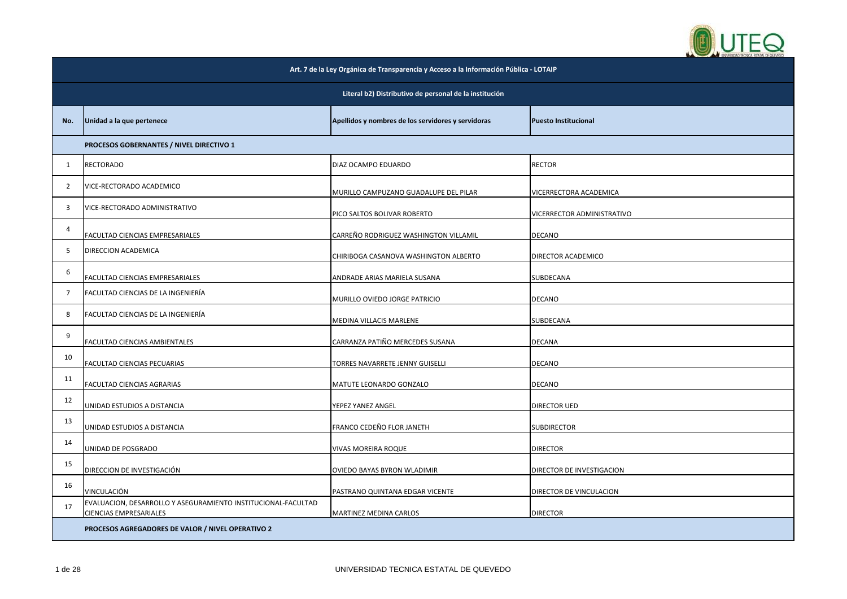

| Art. 7 de la Ley Orgánica de Transparencia y Acceso a la Información Pública - LOTAIP |                                                                                                |                                                    |                             |  |
|---------------------------------------------------------------------------------------|------------------------------------------------------------------------------------------------|----------------------------------------------------|-----------------------------|--|
|                                                                                       | Literal b2) Distributivo de personal de la institución                                         |                                                    |                             |  |
| No.                                                                                   | Unidad a la que pertenece                                                                      | Apellidos y nombres de los servidores y servidoras | <b>Puesto Institucional</b> |  |
|                                                                                       | PROCESOS GOBERNANTES / NIVEL DIRECTIVO 1                                                       |                                                    |                             |  |
| 1                                                                                     | <b>RECTORADO</b>                                                                               | DIAZ OCAMPO EDUARDO                                | <b>RECTOR</b>               |  |
| 2                                                                                     | VICE-RECTORADO ACADEMICO                                                                       | MURILLO CAMPUZANO GUADALUPE DEL PILAR              | VICERRECTORA ACADEMICA      |  |
| 3                                                                                     | VICE-RECTORADO ADMINISTRATIVO                                                                  | PICO SALTOS BOLIVAR ROBERTO                        | VICERRECTOR ADMINISTRATIVO  |  |
| 4                                                                                     | FACULTAD CIENCIAS EMPRESARIALES                                                                | CARREÑO RODRIGUEZ WASHINGTON VILLAMIL              | DECANO                      |  |
| 5                                                                                     | DIRECCION ACADEMICA                                                                            | CHIRIBOGA CASANOVA WASHINGTON ALBERTO              | DIRECTOR ACADEMICO          |  |
| 6                                                                                     | FACULTAD CIENCIAS EMPRESARIALES                                                                | ANDRADE ARIAS MARIELA SUSANA                       | SUBDECANA                   |  |
| $\overline{7}$                                                                        | FACULTAD CIENCIAS DE LA INGENIERÍA                                                             | MURILLO OVIEDO JORGE PATRICIO                      | <b>DECANO</b>               |  |
| 8                                                                                     | FACULTAD CIENCIAS DE LA INGENIERÍA                                                             | MEDINA VILLACIS MARLENE                            | SUBDECANA                   |  |
| 9                                                                                     | FACULTAD CIENCIAS AMBIENTALES                                                                  | CARRANZA PATIÑO MERCEDES SUSANA                    | DECANA                      |  |
| 10                                                                                    | FACULTAD CIENCIAS PECUARIAS                                                                    | TORRES NAVARRETE JENNY GUISELLI                    | DECANO                      |  |
| 11                                                                                    | FACULTAD CIENCIAS AGRARIAS                                                                     | MATUTE LEONARDO GONZALO                            | <b>DECANO</b>               |  |
| 12                                                                                    | UNIDAD ESTUDIOS A DISTANCIA                                                                    | YEPEZ YANEZ ANGEL                                  | DIRECTOR UED                |  |
| 13                                                                                    | UNIDAD ESTUDIOS A DISTANCIA                                                                    | FRANCO CEDEÑO FLOR JANETH                          | <b>SUBDIRECTOR</b>          |  |
| 14                                                                                    | UNIDAD DE POSGRADO                                                                             | VIVAS MOREIRA ROQUE                                | <b>DIRECTOR</b>             |  |
| 15                                                                                    | DIRECCION DE INVESTIGACIÓN                                                                     | OVIEDO BAYAS BYRON WLADIMIR                        | DIRECTOR DE INVESTIGACION   |  |
| 16                                                                                    | VINCULACIÓN                                                                                    | PASTRANO QUINTANA EDGAR VICENTE                    | DIRECTOR DE VINCULACION     |  |
| 17                                                                                    | EVALUACION, DESARROLLO Y ASEGURAMIENTO INSTITUCIONAL-FACULTAD<br><b>CIENCIAS EMPRESARIALES</b> | MARTINEZ MEDINA CARLOS                             | <b>DIRECTOR</b>             |  |
|                                                                                       | PROCESOS AGREGADORES DE VALOR / NIVEL OPERATIVO 2                                              |                                                    |                             |  |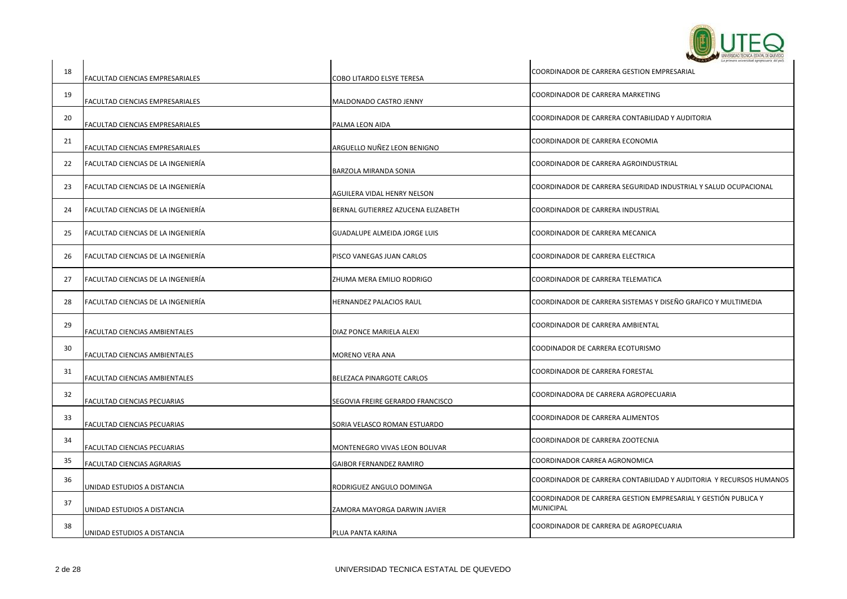

|    |                                    |                                     | <b>CALIFORNIA WARROW TECNICA ESTATAL DE QUEVECO</b>                                |
|----|------------------------------------|-------------------------------------|------------------------------------------------------------------------------------|
| 18 | FACULTAD CIENCIAS EMPRESARIALES    | COBO LITARDO ELSYE TERESA           | COORDINADOR DE CARRERA GESTION EMPRESARIAL                                         |
| 19 | FACULTAD CIENCIAS EMPRESARIALES    | MALDONADO CASTRO JENNY              | COORDINADOR DE CARRERA MARKETING                                                   |
| 20 | FACULTAD CIENCIAS EMPRESARIALES    | PALMA LEON AIDA                     | COORDINADOR DE CARRERA CONTABILIDAD Y AUDITORIA                                    |
| 21 | FACULTAD CIENCIAS EMPRESARIALES    | ARGUELLO NUÑEZ LEON BENIGNO         | COORDINADOR DE CARRERA ECONOMIA                                                    |
| 22 | FACULTAD CIENCIAS DE LA INGENIERÍA | BARZOLA MIRANDA SONIA               | COORDINADOR DE CARRERA AGROINDUSTRIAL                                              |
| 23 | FACULTAD CIENCIAS DE LA INGENIERÍA | AGUILERA VIDAL HENRY NELSON         | COORDINADOR DE CARRERA SEGURIDAD INDUSTRIAL Y SALUD OCUPACIONAL                    |
| 24 | FACULTAD CIENCIAS DE LA INGENIERÍA | BERNAL GUTIERREZ AZUCENA ELIZABETH  | COORDINADOR DE CARRERA INDUSTRIAL                                                  |
| 25 | FACULTAD CIENCIAS DE LA INGENIERÍA | <b>GUADALUPE ALMEIDA JORGE LUIS</b> | COORDINADOR DE CARRERA MECANICA                                                    |
| 26 | FACULTAD CIENCIAS DE LA INGENIERÍA | PISCO VANEGAS JUAN CARLOS           | <b>COORDINADOR DE CARRERA ELECTRICA</b>                                            |
| 27 | FACULTAD CIENCIAS DE LA INGENIERIA | ZHUMA MERA EMILIO RODRIGO           | COORDINADOR DE CARRERA TELEMATICA                                                  |
| 28 | FACULTAD CIENCIAS DE LA INGENIERÍA | HERNANDEZ PALACIOS RAUL             | COORDINADOR DE CARRERA SISTEMAS Y DISEÑO GRAFICO Y MULTIMEDIA                      |
| 29 | FACULTAD CIENCIAS AMBIENTALES      | DIAZ PONCE MARIELA ALEXI            | COORDINADOR DE CARRERA AMBIENTAL                                                   |
| 30 | FACULTAD CIENCIAS AMBIENTALES      | MORENO VERA ANA                     | COODINADOR DE CARRERA ECOTURISMO                                                   |
| 31 | FACULTAD CIENCIAS AMBIENTALES      | BELEZACA PINARGOTE CARLOS           | COORDINADOR DE CARRERA FORESTAL                                                    |
| 32 | FACULTAD CIENCIAS PECUARIAS        | SEGOVIA FREIRE GERARDO FRANCISCO    | COORDINADORA DE CARRERA AGROPECUARIA                                               |
| 33 | FACULTAD CIENCIAS PECUARIAS        | SORIA VELASCO ROMAN ESTUARDO        | COORDINADOR DE CARRERA ALIMENTOS                                                   |
| 34 | FACULTAD CIENCIAS PECUARIAS        | MONTENEGRO VIVAS LEON BOLIVAR       | COORDINADOR DE CARRERA ZOOTECNIA                                                   |
| 35 | FACULTAD CIENCIAS AGRARIAS         | <b>GAIBOR FERNANDEZ RAMIRO</b>      | COORDINADOR CARREA AGRONOMICA                                                      |
| 36 | UNIDAD ESTUDIOS A DISTANCIA        | RODRIGUEZ ANGULO DOMINGA            | COORDINADOR DE CARRERA CONTABILIDAD Y AUDITORIA Y RECURSOS HUMANOS                 |
| 37 | UNIDAD ESTUDIOS A DISTANCIA        | ZAMORA MAYORGA DARWIN JAVIER        | COORDINADOR DE CARRERA GESTION EMPRESARIAL Y GESTIÓN PUBLICA Y<br><b>MUNICIPAL</b> |
| 38 | UNIDAD ESTUDIOS A DISTANCIA        | PLUA PANTA KARINA                   | COORDINADOR DE CARRERA DE AGROPECUARIA                                             |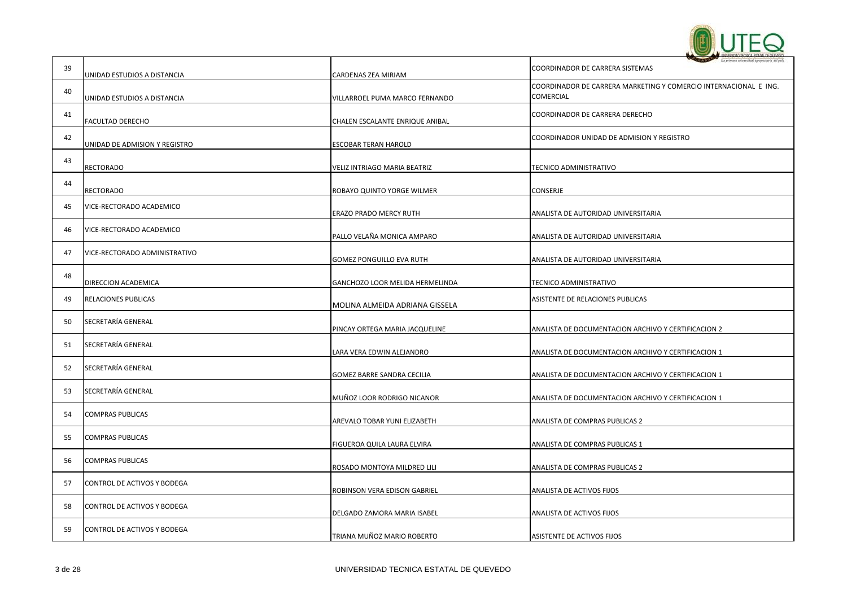

| 39 | UNIDAD ESTUDIOS A DISTANCIA   | CARDENAS ZEA MIRIAM             | La primera solversidad apropecuaria del pal<br>COORDINADOR DE CARRERA SISTEMAS |
|----|-------------------------------|---------------------------------|--------------------------------------------------------------------------------|
| 40 | UNIDAD ESTUDIOS A DISTANCIA   | VILLARROEL PUMA MARCO FERNANDO  | COORDINADOR DE CARRERA MARKETING Y COMERCIO INTERNACIONAL E ING.<br>COMERCIAL  |
| 41 | FACULTAD DERECHO              | CHALEN ESCALANTE ENRIQUE ANIBAL | COORDINADOR DE CARRERA DERECHO                                                 |
| 42 | UNIDAD DE ADMISION Y REGISTRO | <b>ESCOBAR TERAN HAROLD</b>     | COORDINADOR UNIDAD DE ADMISION Y REGISTRO                                      |
| 43 | <b>RECTORADO</b>              | VELIZ INTRIAGO MARIA BEATRIZ    | TECNICO ADMINISTRATIVO                                                         |
| 44 | <b>RECTORADO</b>              | ROBAYO QUINTO YORGE WILMER      | CONSERJE                                                                       |
| 45 | VICE-RECTORADO ACADEMICO      | ERAZO PRADO MERCY RUTH          | ANALISTA DE AUTORIDAD UNIVERSITARIA                                            |
| 46 | VICE-RECTORADO ACADEMICO      | PALLO VELAÑA MONICA AMPARO      | ANALISTA DE AUTORIDAD UNIVERSITARIA                                            |
| 47 | VICE-RECTORADO ADMINISTRATIVO | GOMEZ PONGUILLO EVA RUTH        | ANALISTA DE AUTORIDAD UNIVERSITARIA                                            |
| 48 | DIRECCION ACADEMICA           | GANCHOZO LOOR MELIDA HERMELINDA | TECNICO ADMINISTRATIVO                                                         |
| 49 | <b>RELACIONES PUBLICAS</b>    | MOLINA ALMEIDA ADRIANA GISSELA  | ASISTENTE DE RELACIONES PUBLICAS                                               |
| 50 | SECRETARÍA GENERAL            | PINCAY ORTEGA MARIA JACQUELINE  | ANALISTA DE DOCUMENTACION ARCHIVO Y CERTIFICACION 2                            |
| 51 | SECRETARÍA GENERAL            | LARA VERA EDWIN ALEJANDRO       | ANALISTA DE DOCUMENTACION ARCHIVO Y CERTIFICACION 1                            |
| 52 | <b>SECRETARÍA GENERAL</b>     | GOMEZ BARRE SANDRA CECILIA      | ANALISTA DE DOCUMENTACION ARCHIVO Y CERTIFICACION 1                            |
| 53 | SECRETARÍA GENERAL            | MUÑOZ LOOR RODRIGO NICANOR      | ANALISTA DE DOCUMENTACION ARCHIVO Y CERTIFICACION 1                            |
| 54 | <b>COMPRAS PUBLICAS</b>       | AREVALO TOBAR YUNI ELIZABETH    | ANALISTA DE COMPRAS PUBLICAS 2                                                 |
| 55 | <b>COMPRAS PUBLICAS</b>       | FIGUEROA QUILA LAURA ELVIRA     | ANALISTA DE COMPRAS PUBLICAS 1                                                 |
| 56 | <b>COMPRAS PUBLICAS</b>       | ROSADO MONTOYA MILDRED LILI     | ANALISTA DE COMPRAS PUBLICAS 2                                                 |
| 57 | CONTROL DE ACTIVOS Y BODEGA   | ROBINSON VERA EDISON GABRIEL    | ANALISTA DE ACTIVOS FIJOS                                                      |
| 58 | CONTROL DE ACTIVOS Y BODEGA   | DELGADO ZAMORA MARIA ISABEL     | ANALISTA DE ACTIVOS FIJOS                                                      |
| 59 | CONTROL DE ACTIVOS Y BODEGA   | TRIANA MUÑOZ MARIO ROBERTO      | ASISTENTE DE ACTIVOS FIJOS                                                     |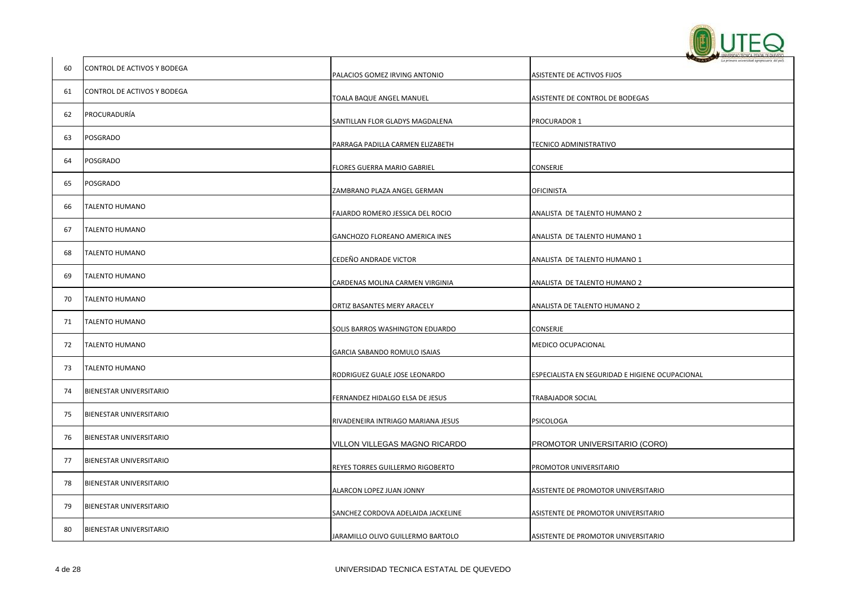

| 60 | CONTROL DE ACTIVOS Y BODEGA | PALACIOS GOMEZ IRVING ANTONIO      | ASISTENTE DE ACTIVOS FIJOS                      |
|----|-----------------------------|------------------------------------|-------------------------------------------------|
| 61 | CONTROL DE ACTIVOS Y BODEGA | TOALA BAQUE ANGEL MANUEL           | ASISTENTE DE CONTROL DE BODEGAS                 |
| 62 | PROCURADURÍA                | SANTILLAN FLOR GLADYS MAGDALENA    | PROCURADOR 1                                    |
| 63 | <b>POSGRADO</b>             | PARRAGA PADILLA CARMEN ELIZABETH   | TECNICO ADMINISTRATIVO                          |
| 64 | <b>POSGRADO</b>             | FLORES GUERRA MARIO GABRIEL        | CONSERJE                                        |
| 65 | POSGRADO                    | ZAMBRANO PLAZA ANGEL GERMAN        | <b>OFICINISTA</b>                               |
| 66 | <b>TALENTO HUMANO</b>       | FAJARDO ROMERO JESSICA DEL ROCIO   | ANALISTA DE TALENTO HUMANO 2                    |
| 67 | <b>TALENTO HUMANO</b>       | GANCHOZO FLOREANO AMERICA INES     | ANALISTA DE TALENTO HUMANO 1                    |
| 68 | <b>TALENTO HUMANO</b>       | CEDEÑO ANDRADE VICTOR              | ANALISTA DE TALENTO HUMANO 1                    |
| 69 | <b>TALENTO HUMANO</b>       | CARDENAS MOLINA CARMEN VIRGINIA    | ANALISTA DE TALENTO HUMANO 2                    |
| 70 | <b>TALENTO HUMANO</b>       | ORTIZ BASANTES MERY ARACELY        | ANALISTA DE TALENTO HUMANO 2                    |
| 71 | <b>TALENTO HUMANO</b>       | SOLIS BARROS WASHINGTON EDUARDO    | CONSERJE                                        |
| 72 | TALENTO HUMANO              | GARCIA SABANDO ROMULO ISAIAS       | MEDICO OCUPACIONAL                              |
| 73 | <b>TALENTO HUMANO</b>       | RODRIGUEZ GUALE JOSE LEONARDO      | ESPECIALISTA EN SEGURIDAD E HIGIENE OCUPACIONAL |
| 74 | BIENESTAR UNIVERSITARIO     | FERNANDEZ HIDALGO ELSA DE JESUS    | <b>TRABAJADOR SOCIAL</b>                        |
| 75 | BIENESTAR UNIVERSITARIO     | RIVADENEIRA INTRIAGO MARIANA JESUS | PSICOLOGA                                       |
| 76 | BIENESTAR UNIVERSITARIO     | VILLON VILLEGAS MAGNO RICARDO      | PROMOTOR UNIVERSITARIO (CORO)                   |
| 77 | BIENESTAR UNIVERSITARIO     | REYES TORRES GUILLERMO RIGOBERTO   | PROMOTOR UNIVERSITARIO                          |
| 78 | BIENESTAR UNIVERSITARIO     | ALARCON LOPEZ JUAN JONNY           | ASISTENTE DE PROMOTOR UNIVERSITARIO             |
| 79 | BIENESTAR UNIVERSITARIO     | SANCHEZ CORDOVA ADELAIDA JACKELINE | ASISTENTE DE PROMOTOR UNIVERSITARIO             |
| 80 | BIENESTAR UNIVERSITARIO     | JARAMILLO OLIVO GUILLERMO BARTOLO  | ASISTENTE DE PROMOTOR UNIVERSITARIO             |
|    |                             |                                    |                                                 |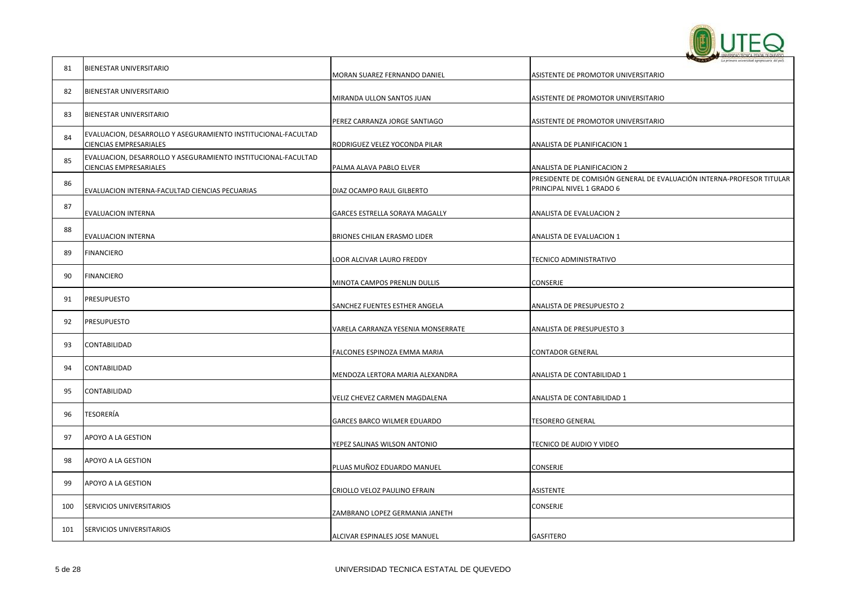

|     |                                                                                         |                                    | The factories messaging wild decision and kind                                                     |
|-----|-----------------------------------------------------------------------------------------|------------------------------------|----------------------------------------------------------------------------------------------------|
| 81  | BIENESTAR UNIVERSITARIO                                                                 | MORAN SUAREZ FERNANDO DANIEL       | ASISTENTE DE PROMOTOR UNIVERSITARIO                                                                |
| 82  | BIENESTAR UNIVERSITARIO                                                                 | MIRANDA ULLON SANTOS JUAN          | ASISTENTE DE PROMOTOR UNIVERSITARIO                                                                |
| 83  | BIENESTAR UNIVERSITARIO                                                                 | PEREZ CARRANZA JORGE SANTIAGO      | ASISTENTE DE PROMOTOR UNIVERSITARIO                                                                |
| 84  | EVALUACION, DESARROLLO Y ASEGURAMIENTO INSTITUCIONAL-FACULTAD<br>CIENCIAS EMPRESARIALES | RODRIGUEZ VELEZ YOCONDA PILAR      | ANALISTA DE PLANIFICACION 1                                                                        |
| 85  | EVALUACION, DESARROLLO Y ASEGURAMIENTO INSTITUCIONAL-FACULTAD<br>CIENCIAS EMPRESARIALES | PALMA ALAVA PABLO ELVER            | ANALISTA DE PLANIFICACION 2                                                                        |
| 86  | EVALUACION INTERNA-FACULTAD CIENCIAS PECUARIAS                                          | DIAZ OCAMPO RAUL GILBERTO          | PRESIDENTE DE COMISIÓN GENERAL DE EVALUACIÓN INTERNA-PROFESOR TITULAR<br>PRINCIPAL NIVEL 1 GRADO 6 |
| 87  | EVALUACION INTERNA                                                                      | GARCES ESTRELLA SORAYA MAGALLY     | ANALISTA DE EVALUACION 2                                                                           |
| 88  | EVALUACION INTERNA                                                                      | BRIONES CHILAN ERASMO LIDER        | ANALISTA DE EVALUACION 1                                                                           |
| 89  | <b>FINANCIERO</b>                                                                       | LOOR ALCIVAR LAURO FREDDY          | TECNICO ADMINISTRATIVO                                                                             |
| 90  | FINANCIERO                                                                              | MINOTA CAMPOS PRENLIN DULLIS       | CONSERJE                                                                                           |
| 91  | PRESUPUESTO                                                                             | SANCHEZ FUENTES ESTHER ANGELA      | ANALISTA DE PRESUPUESTO 2                                                                          |
| 92  | PRESUPUESTO                                                                             | VARELA CARRANZA YESENIA MONSERRATE | ANALISTA DE PRESUPUESTO 3                                                                          |
| 93  | CONTABILIDAD                                                                            | FALCONES ESPINOZA EMMA MARIA       | <b>CONTADOR GENERAL</b>                                                                            |
| 94  | CONTABILIDAD                                                                            | MENDOZA LERTORA MARIA ALEXANDRA    | ANALISTA DE CONTABILIDAD 1                                                                         |
| 95  | CONTABILIDAD                                                                            | VELIZ CHEVEZ CARMEN MAGDALENA      | ANALISTA DE CONTABILIDAD 1                                                                         |
| 96  | TESORERÍA                                                                               | GARCES BARCO WILMER EDUARDO        | <b>TESORERO GENERAL</b>                                                                            |
| 97  | APOYO A LA GESTION                                                                      | YEPEZ SALINAS WILSON ANTONIO       | TECNICO DE AUDIO Y VIDEO                                                                           |
| 98  | APOYO A LA GESTION                                                                      | PLUAS MUÑOZ EDUARDO MANUEL         | CONSERJE                                                                                           |
| 99  | APOYO A LA GESTION                                                                      | CRIOLLO VELOZ PAULINO EFRAIN       | ASISTENTE                                                                                          |
| 100 | SERVICIOS UNIVERSITARIOS                                                                | ZAMBRANO LOPEZ GERMANIA JANETH     | CONSERJE                                                                                           |
| 101 | SERVICIOS UNIVERSITARIOS                                                                | ALCIVAR ESPINALES JOSE MANUEL      | <b>GASFITERO</b>                                                                                   |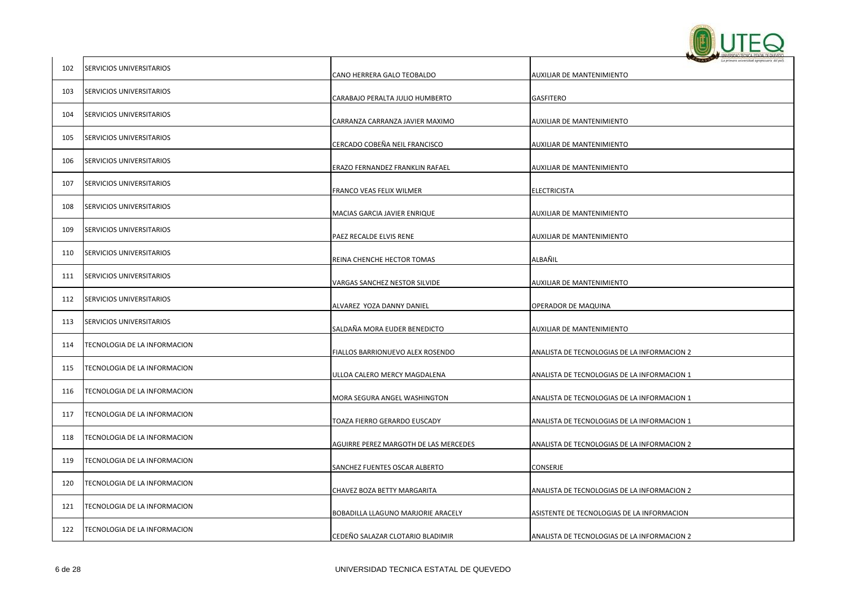

| 102 | SERVICIOS UNIVERSITARIOS        | CANO HERRERA GALO TEOBALDO            | AUXILIAR DE MANTENIMIENTO                   |
|-----|---------------------------------|---------------------------------------|---------------------------------------------|
| 103 | SERVICIOS UNIVERSITARIOS        | CARABAJO PERALTA JULIO HUMBERTO       | GASFITERO                                   |
| 104 | SERVICIOS UNIVERSITARIOS        | CARRANZA CARRANZA JAVIER MAXIMO       | AUXILIAR DE MANTENIMIENTO                   |
| 105 | SERVICIOS UNIVERSITARIOS        | CERCADO COBEÑA NEIL FRANCISCO         | AUXILIAR DE MANTENIMIENTO                   |
| 106 | SERVICIOS UNIVERSITARIOS        | ERAZO FERNANDEZ FRANKLIN RAFAEL       | AUXILIAR DE MANTENIMIENTO                   |
| 107 | <b>SERVICIOS UNIVERSITARIOS</b> | FRANCO VEAS FELIX WILMER              | ELECTRICISTA                                |
| 108 | SERVICIOS UNIVERSITARIOS        | MACIAS GARCIA JAVIER ENRIQUE          | AUXILIAR DE MANTENIMIENTO                   |
| 109 | SERVICIOS UNIVERSITARIOS        | PAEZ RECALDE ELVIS RENE               | AUXILIAR DE MANTENIMIENTO                   |
| 110 | SERVICIOS UNIVERSITARIOS        | REINA CHENCHE HECTOR TOMAS            | ALBAÑIL                                     |
| 111 | SERVICIOS UNIVERSITARIOS        | VARGAS SANCHEZ NESTOR SILVIDE         | AUXILIAR DE MANTENIMIENTO                   |
| 112 | SERVICIOS UNIVERSITARIOS        | ALVAREZ YOZA DANNY DANIEL             | OPERADOR DE MAQUINA                         |
| 113 | SERVICIOS UNIVERSITARIOS        | SALDAÑA MORA EUDER BENEDICTO          | AUXILIAR DE MANTENIMIENTO                   |
| 114 | TECNOLOGIA DE LA INFORMACION    | FIALLOS BARRIONUEVO ALEX ROSENDO      | ANALISTA DE TECNOLOGIAS DE LA INFORMACION 2 |
| 115 | TECNOLOGIA DE LA INFORMACION    | ULLOA CALERO MERCY MAGDALENA          | ANALISTA DE TECNOLOGIAS DE LA INFORMACION 1 |
| 116 | TECNOLOGIA DE LA INFORMACION    | MORA SEGURA ANGEL WASHINGTON          | ANALISTA DE TECNOLOGIAS DE LA INFORMACION 1 |
| 117 | TECNOLOGIA DE LA INFORMACION    | TOAZA FIERRO GERARDO EUSCADY          | ANALISTA DE TECNOLOGIAS DE LA INFORMACION 1 |
| 118 | TECNOLOGIA DE LA INFORMACION    | AGUIRRE PEREZ MARGOTH DE LAS MERCEDES | ANALISTA DE TECNOLOGIAS DE LA INFORMACION 2 |
| 119 | TECNOLOGIA DE LA INFORMACION    | SANCHEZ FUENTES OSCAR ALBERTO         | CONSERJE                                    |
| 120 | TECNOLOGIA DE LA INFORMACION    | CHAVEZ BOZA BETTY MARGARITA           | ANALISTA DE TECNOLOGIAS DE LA INFORMACION 2 |
| 121 | TECNOLOGIA DE LA INFORMACION    | BOBADILLA LLAGUNO MARJORIE ARACELY    | ASISTENTE DE TECNOLOGIAS DE LA INFORMACION  |
| 122 | TECNOLOGIA DE LA INFORMACION    | CEDEÑO SALAZAR CLOTARIO BLADIMIR      | ANALISTA DE TECNOLOGIAS DE LA INFORMACION 2 |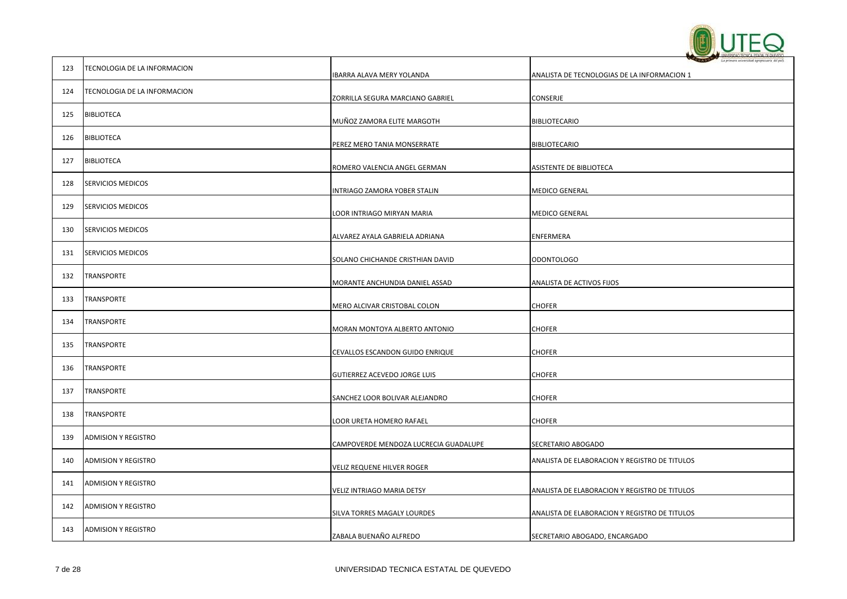

| 123 | TECNOLOGIA DE LA INFORMACION |                                       |                                               |
|-----|------------------------------|---------------------------------------|-----------------------------------------------|
|     |                              | IBARRA ALAVA MERY YOLANDA             | ANALISTA DE TECNOLOGIAS DE LA INFORMACION 1   |
| 124 | TECNOLOGIA DE LA INFORMACION | ZORRILLA SEGURA MARCIANO GABRIEL      | CONSERJE                                      |
| 125 | <b>BIBLIOTECA</b>            | MUÑOZ ZAMORA ELITE MARGOTH            | <b>BIBLIOTECARIO</b>                          |
| 126 | <b>BIBLIOTECA</b>            | PEREZ MERO TANIA MONSERRATE           | <b>BIBLIOTECARIO</b>                          |
| 127 | <b>BIBLIOTECA</b>            | ROMERO VALENCIA ANGEL GERMAN          | ASISTENTE DE BIBLIOTECA                       |
| 128 | <b>SERVICIOS MEDICOS</b>     | INTRIAGO ZAMORA YOBER STALIN          | <b>MEDICO GENERAL</b>                         |
| 129 | <b>SERVICIOS MEDICOS</b>     | LOOR INTRIAGO MIRYAN MARIA            | <b>MEDICO GENERAL</b>                         |
| 130 | <b>SERVICIOS MEDICOS</b>     | ALVAREZ AYALA GABRIELA ADRIANA        | ENFERMERA                                     |
| 131 | <b>SERVICIOS MEDICOS</b>     | SOLANO CHICHANDE CRISTHIAN DAVID      | <b>ODONTOLOGO</b>                             |
| 132 | <b>TRANSPORTE</b>            | MORANTE ANCHUNDIA DANIEL ASSAD        | ANALISTA DE ACTIVOS FIJOS                     |
| 133 | <b>TRANSPORTE</b>            | MERO ALCIVAR CRISTOBAL COLON          | <b>CHOFER</b>                                 |
| 134 | <b>TRANSPORTE</b>            | MORAN MONTOYA ALBERTO ANTONIO         | <b>CHOFER</b>                                 |
| 135 | <b>TRANSPORTE</b>            | CEVALLOS ESCANDON GUIDO ENRIQUE       | <b>CHOFER</b>                                 |
| 136 | <b>TRANSPORTE</b>            | GUTIERREZ ACEVEDO JORGE LUIS          | <b>CHOFER</b>                                 |
| 137 | <b>TRANSPORTE</b>            | SANCHEZ LOOR BOLIVAR ALEJANDRO        | <b>CHOFER</b>                                 |
| 138 | <b>TRANSPORTE</b>            | LOOR URETA HOMERO RAFAEL              | <b>CHOFER</b>                                 |
| 139 | <b>ADMISION Y REGISTRO</b>   | CAMPOVERDE MENDOZA LUCRECIA GUADALUPE | SECRETARIO ABOGADO                            |
| 140 | <b>ADMISION Y REGISTRO</b>   | VELIZ REQUENE HILVER ROGER            | ANALISTA DE ELABORACION Y REGISTRO DE TITULOS |
| 141 | <b>ADMISION Y REGISTRO</b>   | VELIZ INTRIAGO MARIA DETSY            | ANALISTA DE ELABORACION Y REGISTRO DE TITULOS |
| 142 | <b>ADMISION Y REGISTRO</b>   | SILVA TORRES MAGALY LOURDES           | ANALISTA DE ELABORACION Y REGISTRO DE TITULOS |
| 143 | <b>ADMISION Y REGISTRO</b>   | ZABALA BUENAÑO ALFREDO                | SECRETARIO ABOGADO, ENCARGADO                 |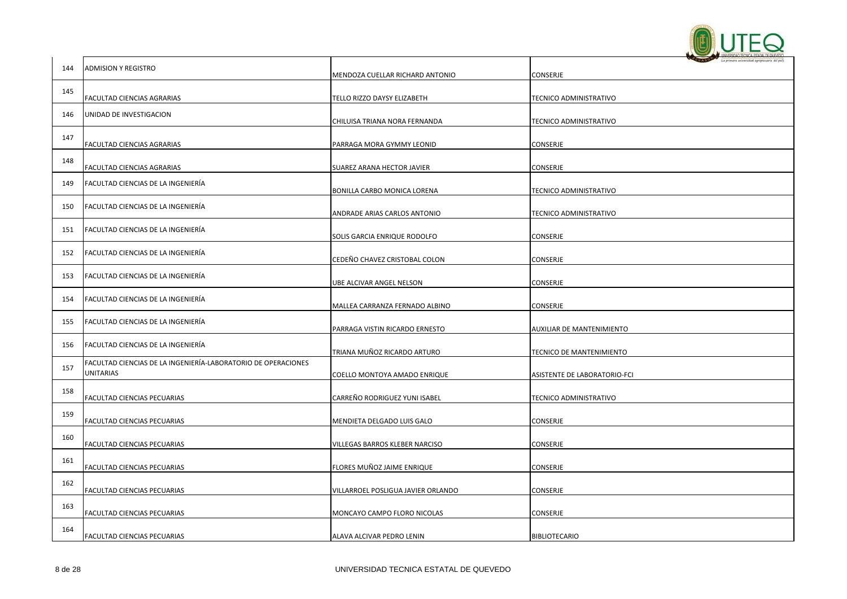

|     |                                                                            |                                    | - La primera universidad agropecuaria del país |
|-----|----------------------------------------------------------------------------|------------------------------------|------------------------------------------------|
| 144 | ADMISION Y REGISTRO                                                        | MENDOZA CUELLAR RICHARD ANTONIO    | CONSERJE                                       |
| 145 | FACULTAD CIENCIAS AGRARIAS                                                 | TELLO RIZZO DAYSY ELIZABETH        | TECNICO ADMINISTRATIVO                         |
| 146 | UNIDAD DE INVESTIGACION                                                    | CHILUISA TRIANA NORA FERNANDA      | TECNICO ADMINISTRATIVO                         |
| 147 | FACULTAD CIENCIAS AGRARIAS                                                 | PARRAGA MORA GYMMY LEONID          | CONSERJE                                       |
| 148 | FACULTAD CIENCIAS AGRARIAS                                                 | SUAREZ ARANA HECTOR JAVIER         | CONSERJE                                       |
| 149 | FACULTAD CIENCIAS DE LA INGENIERÍA                                         | BONILLA CARBO MONICA LORENA        | TECNICO ADMINISTRATIVO                         |
| 150 | FACULTAD CIENCIAS DE LA INGENIERÍA                                         | ANDRADE ARIAS CARLOS ANTONIO       | <b>TECNICO ADMINISTRATIVO</b>                  |
| 151 | FACULTAD CIENCIAS DE LA INGENIERÍA                                         | SOLIS GARCIA ENRIQUE RODOLFO       | CONSERJE                                       |
| 152 | FACULTAD CIENCIAS DE LA INGENIERÍA                                         | CEDEÑO CHAVEZ CRISTOBAL COLON      | CONSERJE                                       |
| 153 | FACULTAD CIENCIAS DE LA INGENIERÍA                                         | UBE ALCIVAR ANGEL NELSON           | CONSERJE                                       |
| 154 | FACULTAD CIENCIAS DE LA INGENIERÍA                                         | MALLEA CARRANZA FERNADO ALBINO     | CONSERJE                                       |
| 155 | FACULTAD CIENCIAS DE LA INGENIERÍA                                         | PARRAGA VISTIN RICARDO ERNESTO     | AUXILIAR DE MANTENIMIENTO                      |
| 156 | FACULTAD CIENCIAS DE LA INGENIERÍA                                         | TRIANA MUÑOZ RICARDO ARTURO        | TECNICO DE MANTENIMIENTO                       |
| 157 | FACULTAD CIENCIAS DE LA INGENIERÍA-LABORATORIO DE OPERACIONES<br>UNITARIAS | COELLO MONTOYA AMADO ENRIQUE       | ASISTENTE DE LABORATORIO-FCI                   |
| 158 | FACULTAD CIENCIAS PECUARIAS                                                | CARREÑO RODRIGUEZ YUNI ISABEL      | TECNICO ADMINISTRATIVO                         |
| 159 | FACULTAD CIENCIAS PECUARIAS                                                | MENDIETA DELGADO LUIS GALO         | CONSERJE                                       |
| 160 | FACULTAD CIENCIAS PECUARIAS                                                | VILLEGAS BARROS KLEBER NARCISO     | CONSERJE                                       |
| 161 | FACULTAD CIENCIAS PECUARIAS                                                | FLORES MUÑOZ JAIME ENRIQUE         | CONSERJE                                       |
| 162 | FACULTAD CIENCIAS PECUARIAS                                                | VILLARROEL POSLIGUA JAVIER ORLANDO | CONSERJE                                       |
| 163 | FACULTAD CIENCIAS PECUARIAS                                                | MONCAYO CAMPO FLORO NICOLAS        | <b>CONSERJE</b>                                |
| 164 | FACULTAD CIENCIAS PECUARIAS                                                | ALAVA ALCIVAR PEDRO LENIN          | <b>BIBLIOTECARIO</b>                           |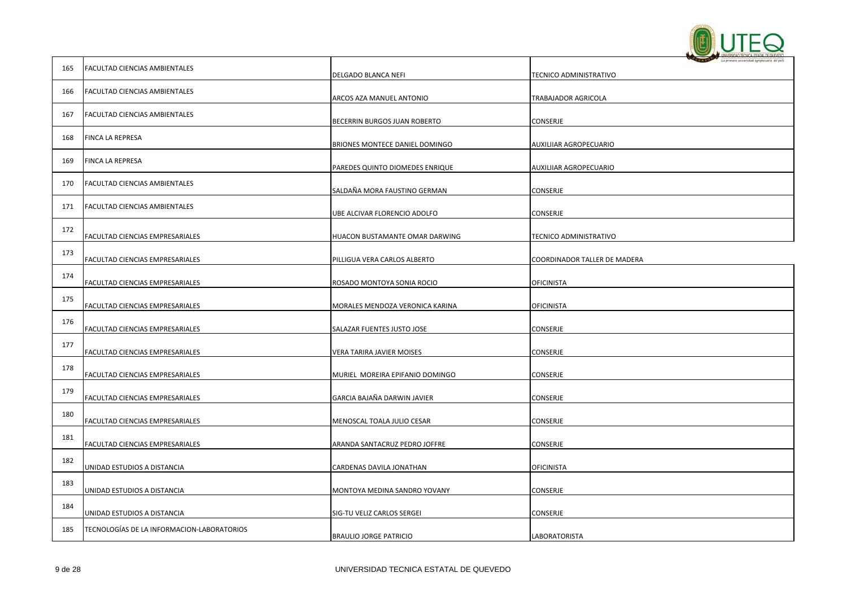

|     |                                            |                                 | La primera selettridad aproposatria del pa |
|-----|--------------------------------------------|---------------------------------|--------------------------------------------|
| 165 | <b>FACULTAD CIENCIAS AMBIENTALES</b>       | DELGADO BLANCA NEFI             | TECNICO ADMINISTRATIVO                     |
| 166 | <b>FACULTAD CIENCIAS AMBIENTALES</b>       | ARCOS AZA MANUEL ANTONIO        | TRABAJADOR AGRICOLA                        |
| 167 | <b>FACULTAD CIENCIAS AMBIENTALES</b>       | BECERRIN BURGOS JUAN ROBERTO    | CONSERJE                                   |
| 168 | FINCA LA REPRESA                           | BRIONES MONTECE DANIEL DOMINGO  | AUXILIIAR AGROPECUARIO                     |
| 169 | FINCA LA REPRESA                           | PAREDES QUINTO DIOMEDES ENRIQUE | AUXILIIAR AGROPECUARIO                     |
| 170 | FACULTAD CIENCIAS AMBIENTALES              | SALDAÑA MORA FAUSTINO GERMAN    | CONSERJE                                   |
| 171 | <b>FACULTAD CIENCIAS AMBIENTALES</b>       | UBE ALCIVAR FLORENCIO ADOLFO    | CONSERJE                                   |
| 172 | FACULTAD CIENCIAS EMPRESARIALES            | HUACON BUSTAMANTE OMAR DARWING  | TECNICO ADMINISTRATIVO                     |
| 173 | FACULTAD CIENCIAS EMPRESARIALES            | PILLIGUA VERA CARLOS ALBERTO    | COORDINADOR TALLER DE MADERA               |
| 174 | FACULTAD CIENCIAS EMPRESARIALES            | ROSADO MONTOYA SONIA ROCIO      | OFICINISTA                                 |
| 175 | FACULTAD CIENCIAS EMPRESARIALES            | MORALES MENDOZA VERONICA KARINA | <b>OFICINISTA</b>                          |
| 176 | FACULTAD CIENCIAS EMPRESARIALES            | SALAZAR FUENTES JUSTO JOSE      | CONSERJE                                   |
| 177 | FACULTAD CIENCIAS EMPRESARIALES            | VERA TARIRA JAVIER MOISES       | CONSERJE                                   |
| 178 | FACULTAD CIENCIAS EMPRESARIALES            | MURIEL MOREIRA EPIFANIO DOMINGO | CONSERJE                                   |
| 179 | FACULTAD CIENCIAS EMPRESARIALES            | GARCIA BAJAÑA DARWIN JAVIER     | CONSERJE                                   |
| 180 | FACULTAD CIENCIAS EMPRESARIALES            | MENOSCAL TOALA JULIO CESAR      | CONSERJE                                   |
| 181 | FACULTAD CIENCIAS EMPRESARIALES            | ARANDA SANTACRUZ PEDRO JOFFRE   | CONSERJE                                   |
| 182 | UNIDAD ESTUDIOS A DISTANCIA                | CARDENAS DAVILA JONATHAN        | <b>OFICINISTA</b>                          |
| 183 | UNIDAD ESTUDIOS A DISTANCIA                | MONTOYA MEDINA SANDRO YOVANY    | CONSERJE                                   |
| 184 | UNIDAD ESTUDIOS A DISTANCIA                | SIG-TU VELIZ CARLOS SERGEI      | CONSERJE                                   |
| 185 | TECNOLOGÍAS DE LA INFORMACION-LABORATORIOS | <b>BRAULIO JORGE PATRICIO</b>   | LABORATORISTA                              |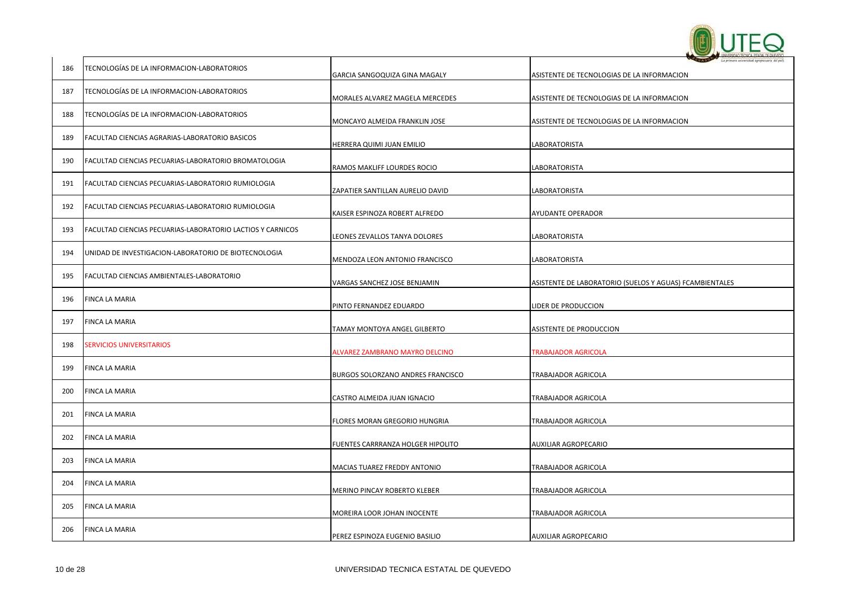

|     |                                                            |                                                          | <b>UNIFISIDIO ECNICA ESTATAL DE GLEVEDO</b><br>La primera universidad agropocuaria del pal |
|-----|------------------------------------------------------------|----------------------------------------------------------|--------------------------------------------------------------------------------------------|
| 186 | TECNOLOGÍAS DE LA INFORMACION-LABORATORIOS                 | GARCIA SANGOQUIZA GINA MAGALY                            | ASISTENTE DE TECNOLOGIAS DE LA INFORMACION                                                 |
| 187 | TECNOLOGÍAS DE LA INFORMACION-LABORATORIOS                 | MORALES ALVAREZ MAGELA MERCEDES                          | ASISTENTE DE TECNOLOGIAS DE LA INFORMACION                                                 |
| 188 | TECNOLOGÍAS DE LA INFORMACION-LABORATORIOS                 | MONCAYO ALMEIDA FRANKLIN JOSE                            | ASISTENTE DE TECNOLOGIAS DE LA INFORMACION                                                 |
| 189 | FACULTAD CIENCIAS AGRARIAS-LABORATORIO BASICOS             |                                                          |                                                                                            |
| 190 | FACULTAD CIENCIAS PECUARIAS-LABORATORIO BROMATOLOGIA       | HERRERA QUIMI JUAN EMILIO<br>RAMOS MAKLIFF LOURDES ROCIO | LABORATORISTA<br>LABORATORISTA                                                             |
| 191 | FACULTAD CIENCIAS PECUARIAS-LABORATORIO RUMIOLOGIA         | ZAPATIER SANTILLAN AURELIO DAVID                         | LABORATORISTA                                                                              |
| 192 | FACULTAD CIENCIAS PECUARIAS-LABORATORIO RUMIOLOGIA         | KAISER ESPINOZA ROBERT ALFREDO                           | AYUDANTE OPERADOR                                                                          |
| 193 | FACULTAD CIENCIAS PECUARIAS-LABORATORIO LACTIOS Y CARNICOS | LEONES ZEVALLOS TANYA DOLORES                            | LABORATORISTA                                                                              |
| 194 | UNIDAD DE INVESTIGACION-LABORATORIO DE BIOTECNOLOGIA       | MENDOZA LEON ANTONIO FRANCISCO                           | LABORATORISTA                                                                              |
| 195 | FACULTAD CIENCIAS AMBIENTALES-LABORATORIO                  | VARGAS SANCHEZ JOSE BENJAMIN                             | ASISTENTE DE LABORATORIO (SUELOS Y AGUAS) FCAMBIENTALES                                    |
| 196 | FINCA LA MARIA                                             | PINTO FERNANDEZ EDUARDO                                  | LIDER DE PRODUCCION                                                                        |
| 197 | <b>FINCA LA MARIA</b>                                      | TAMAY MONTOYA ANGEL GILBERTO                             | ASISTENTE DE PRODUCCION                                                                    |
| 198 | <b>SERVICIOS UNIVERSITARIOS</b>                            | ALVAREZ ZAMBRANO MAYRO DELCINO                           | <b>TRABAJADOR AGRICOLA</b>                                                                 |
| 199 | FINCA LA MARIA                                             | BURGOS SOLORZANO ANDRES FRANCISCO                        | TRABAJADOR AGRICOLA                                                                        |
| 200 | <b>FINCA LA MARIA</b>                                      | CASTRO ALMEIDA JUAN IGNACIO                              | TRABAJADOR AGRICOLA                                                                        |
| 201 | FINCA LA MARIA                                             | FLORES MORAN GREGORIO HUNGRIA                            | TRABAJADOR AGRICOLA                                                                        |
| 202 | <b>FINCA LA MARIA</b>                                      | FUENTES CARRRANZA HOLGER HIPOLITO                        | AUXILIAR AGROPECARIO                                                                       |
| 203 | FINCA LA MARIA                                             | MACIAS TUAREZ FREDDY ANTONIO                             | TRABAJADOR AGRICOLA                                                                        |
| 204 | <b>FINCA LA MARIA</b>                                      | MERINO PINCAY ROBERTO KLEBER                             | TRABAJADOR AGRICOLA                                                                        |
| 205 | <b>FINCA LA MARIA</b>                                      | MOREIRA LOOR JOHAN INOCENTE                              | TRABAJADOR AGRICOLA                                                                        |
| 206 | <b>FINCA LA MARIA</b>                                      | PEREZ ESPINOZA EUGENIO BASILIO                           | AUXILIAR AGROPECARIO                                                                       |
|     |                                                            |                                                          |                                                                                            |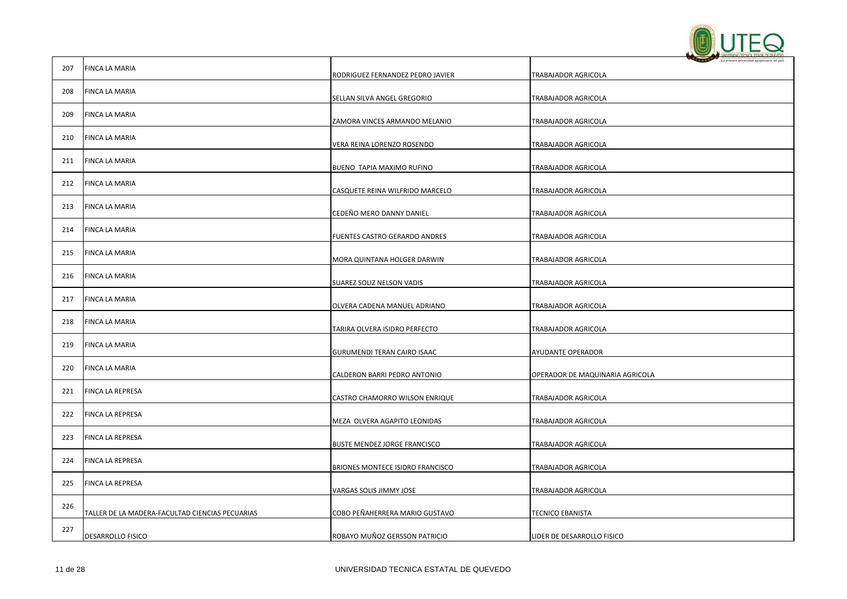

|     |                                                 |                                  | The factories messaging relationship are lead |
|-----|-------------------------------------------------|----------------------------------|-----------------------------------------------|
| 207 | FINCA LA MARIA                                  | RODRIGUEZ FERNANDEZ PEDRO JAVIER | TRABAJADOR AGRICOLA                           |
| 208 | FINCA LA MARIA                                  | SELLAN SILVA ANGEL GREGORIO      | TRABAJADOR AGRICOLA                           |
| 209 | FINCA LA MARIA                                  | ZAMORA VINCES ARMANDO MELANIO    | TRABAJADOR AGRICOLA                           |
| 210 | FINCA LA MARIA                                  | VERA REINA LORENZO ROSENDO       | TRABAJADOR AGRICOLA                           |
| 211 | FINCA LA MARIA                                  | BUENO TAPIA MAXIMO RUFINO        | TRABAJADOR AGRICOLA                           |
| 212 | FINCA LA MARIA                                  | CASQUETE REINA WILFRIDO MARCELO  | TRABAJADOR AGRICOLA                           |
| 213 | FINCA LA MARIA                                  | CEDEÑO MERO DANNY DANIEL         | TRABAJADOR AGRICOLA                           |
| 214 | FINCA LA MARIA                                  | FUENTES CASTRO GERARDO ANDRES    | TRABAJADOR AGRICOLA                           |
| 215 | FINCA LA MARIA                                  | MORA QUINTANA HOLGER DARWIN      | TRABAJADOR AGRICOLA                           |
| 216 | FINCA LA MARIA                                  | SUAREZ SOLIZ NELSON VADIS        | TRABAJADOR AGRICOLA                           |
| 217 | FINCA LA MARIA                                  | OLVERA CADENA MANUEL ADRIANO     | TRABAJADOR AGRICOLA                           |
| 218 | FINCA LA MARIA                                  | TARIRA OLVERA ISIDRO PERFECTO    | TRABAJADOR AGRICOLA                           |
| 219 | FINCA LA MARIA                                  | GURUMENDI TERAN CAIRO ISAAC      | AYUDANTE OPERADOR                             |
| 220 | FINCA LA MARIA                                  | CALDERON BARRI PEDRO ANTONIO     | OPERADOR DE MAQUINARIA AGRICOLA               |
| 221 | FINCA LA REPRESA                                | CASTRO CHAMORRO WILSON ENRIQUE   | TRABAJADOR AGRICOLA                           |
| 222 | FINCA LA REPRESA                                | MEZA OLVERA AGAPITO LEONIDAS     | TRABAJADOR AGRICOLA                           |
| 223 | FINCA LA REPRESA                                | BUSTE MENDEZ JORGE FRANCISCO     | TRABAJADOR AGRICOLA                           |
| 224 | FINCA LA REPRESA                                | BRIONES MONTECE ISIDRO FRANCISCO | TRABAJADOR AGRICOLA                           |
| 225 | FINCA LA REPRESA                                | VARGAS SOLIS JIMMY JOSE          | <b>TRABAJADOR AGRICOLA</b>                    |
| 226 | TALLER DE LA MADERA-FACULTAD CIENCIAS PECUARIAS | COBO PEÑAHERRERA MARIO GUSTAVO   | <b>TECNICO EBANISTA</b>                       |
| 227 | DESARROLLO FISICO                               | ROBAYO MUÑOZ GERSSON PATRICIO    | LIDER DE DESARROLLO FISICO                    |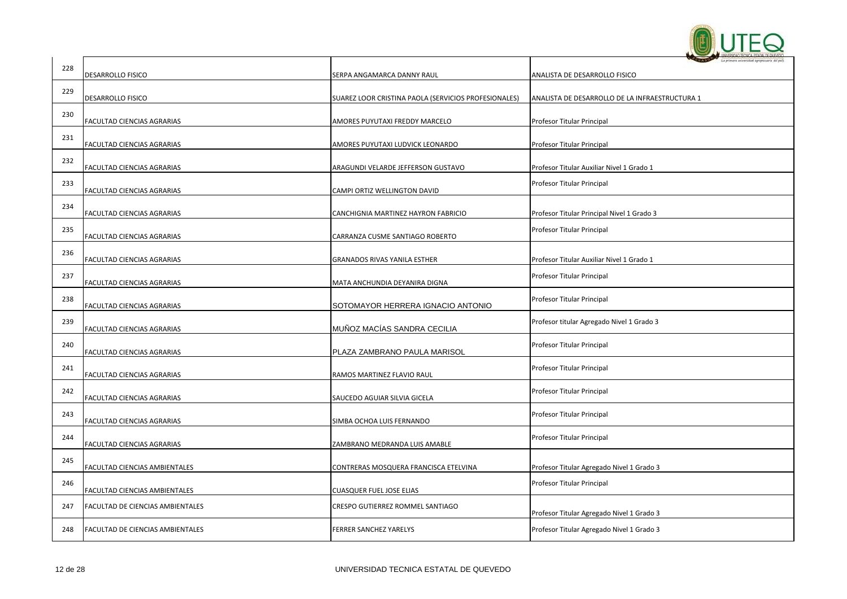

| 228 |                                  |                                                      |                                                |
|-----|----------------------------------|------------------------------------------------------|------------------------------------------------|
|     | DESARROLLO FISICO                | SERPA ANGAMARCA DANNY RAUL                           | ANALISTA DE DESARROLLO FISICO                  |
| 229 | DESARROLLO FISICO                | SUAREZ LOOR CRISTINA PAOLA (SERVICIOS PROFESIONALES) | ANALISTA DE DESARROLLO DE LA INFRAESTRUCTURA 1 |
| 230 |                                  |                                                      |                                                |
|     | FACULTAD CIENCIAS AGRARIAS       | AMORES PUYUTAXI FREDDY MARCELO                       | Profesor Titular Principal                     |
| 231 | FACULTAD CIENCIAS AGRARIAS       | AMORES PUYUTAXI LUDVICK LEONARDO                     | Profesor Titular Principal                     |
| 232 | FACULTAD CIENCIAS AGRARIAS       | ARAGUNDI VELARDE JEFFERSON GUSTAVO                   | Profesor Titular Auxiliar Nivel 1 Grado 1      |
| 233 | FACULTAD CIENCIAS AGRARIAS       | CAMPI ORTIZ WELLINGTON DAVID                         | Profesor Titular Principal                     |
| 234 | FACULTAD CIENCIAS AGRARIAS       | CANCHIGNIA MARTINEZ HAYRON FABRICIO                  | Profesor Titular Principal Nivel 1 Grado 3     |
| 235 | FACULTAD CIENCIAS AGRARIAS       | CARRANZA CUSME SANTIAGO ROBERTO                      | Profesor Titular Principal                     |
| 236 | FACULTAD CIENCIAS AGRARIAS       | GRANADOS RIVAS YANILA ESTHER                         | Profesor Titular Auxiliar Nivel 1 Grado 1      |
| 237 | FACULTAD CIENCIAS AGRARIAS       | MATA ANCHUNDIA DEYANIRA DIGNA                        | Profesor Titular Principal                     |
| 238 | FACULTAD CIENCIAS AGRARIAS       | SOTOMAYOR HERRERA IGNACIO ANTONIO                    | Profesor Titular Principal                     |
| 239 | FACULTAD CIENCIAS AGRARIAS       | MUÑOZ MACÍAS SANDRA CECILIA                          | Profesor titular Agregado Nivel 1 Grado 3      |
| 240 | FACULTAD CIENCIAS AGRARIAS       | PLAZA ZAMBRANO PAULA MARISOL                         | Profesor Titular Principal                     |
| 241 | FACULTAD CIENCIAS AGRARIAS       | RAMOS MARTINEZ FLAVIO RAUL                           | Profesor Titular Principal                     |
| 242 | FACULTAD CIENCIAS AGRARIAS       | SAUCEDO AGUIAR SILVIA GICELA                         | Profesor Titular Principal                     |
| 243 | FACULTAD CIENCIAS AGRARIAS       | SIMBA OCHOA LUIS FERNANDO                            | Profesor Titular Principal                     |
| 244 | FACULTAD CIENCIAS AGRARIAS       | ZAMBRANO MEDRANDA LUIS AMABLE                        | Profesor Titular Principal                     |
| 245 | FACULTAD CIENCIAS AMBIENTALES    | CONTRERAS MOSQUERA FRANCISCA ETELVINA                | Profesor Titular Agregado Nivel 1 Grado 3      |
| 246 | FACULTAD CIENCIAS AMBIENTALES    | <b>CUASQUER FUEL JOSE ELIAS</b>                      | Profesor Titular Principal                     |
| 247 | FACULTAD DE CIENCIAS AMBIENTALES | CRESPO GUTIERREZ ROMMEL SANTIAGO                     | Profesor Titular Agregado Nivel 1 Grado 3      |
| 248 | FACULTAD DE CIENCIAS AMBIENTALES | <b>FERRER SANCHEZ YARELYS</b>                        | Profesor Titular Agregado Nivel 1 Grado 3      |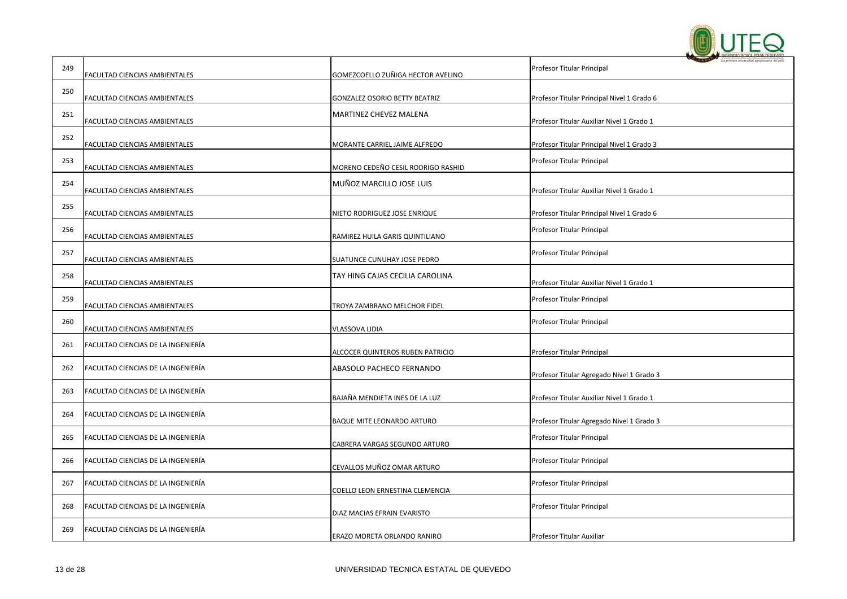

|     |                                    |                                    | <b>DADS</b><br>La primera seleccidad agro  |
|-----|------------------------------------|------------------------------------|--------------------------------------------|
| 249 | FACULTAD CIENCIAS AMBIENTALES      | GOMEZCOELLO ZUÑIGA HECTOR AVELINO  | Profesor Titular Principal                 |
| 250 | FACULTAD CIENCIAS AMBIENTALES      | GONZALEZ OSORIO BETTY BEATRIZ      |                                            |
|     |                                    |                                    | Profesor Titular Principal Nivel 1 Grado 6 |
| 251 | FACULTAD CIENCIAS AMBIENTALES      | <b>MARTINEZ CHEVEZ MALENA</b>      | Profesor Titular Auxiliar Nivel 1 Grado 1  |
| 252 |                                    |                                    |                                            |
|     | FACULTAD CIENCIAS AMBIENTALES      | MORANTE CARRIEL JAIME ALFREDO      | Profesor Titular Principal Nivel 1 Grado 3 |
| 253 | FACULTAD CIENCIAS AMBIENTALES      | MORENO CEDEÑO CESIL RODRIGO RASHID | Profesor Titular Principal                 |
| 254 | FACULTAD CIENCIAS AMBIENTALES      | MUÑOZ MARCILLO JOSE LUIS           | Profesor Titular Auxiliar Nivel 1 Grado 1  |
| 255 |                                    |                                    |                                            |
|     | FACULTAD CIENCIAS AMBIENTALES      | NIETO RODRIGUEZ JOSE ENRIQUE       | Profesor Titular Principal Nivel 1 Grado 6 |
| 256 | FACULTAD CIENCIAS AMBIENTALES      | RAMIREZ HUILA GARIS QUINTILIANO    | Profesor Titular Principal                 |
| 257 | FACULTAD CIENCIAS AMBIENTALES      | SUATUNCE CUNUHAY JOSE PEDRO        | Profesor Titular Principal                 |
| 258 | FACULTAD CIENCIAS AMBIENTALES      | TAY HING CAJAS CECILIA CAROLINA    | Profesor Titular Auxiliar Nivel 1 Grado 1  |
| 259 | FACULTAD CIENCIAS AMBIENTALES      | TROYA ZAMBRANO MELCHOR FIDEL       | Profesor Titular Principal                 |
| 260 | FACULTAD CIENCIAS AMBIENTALES      | VLASSOVA LIDIA                     | Profesor Titular Principal                 |
| 261 | FACULTAD CIENCIAS DE LA INGENIERÍA | ALCOCER QUINTEROS RUBEN PATRICIO   | Profesor Titular Principal                 |
| 262 | FACULTAD CIENCIAS DE LA INGENIERÍA | ABASOLO PACHECO FERNANDO           | Profesor Titular Agregado Nivel 1 Grado 3  |
| 263 | FACULTAD CIENCIAS DE LA INGENIERÍA | BAJAÑA MENDIETA INES DE LA LUZ     | Profesor Titular Auxiliar Nivel 1 Grado 1  |
| 264 | FACULTAD CIENCIAS DE LA INGENIERÍA | BAQUE MITE LEONARDO ARTURO         | Profesor Titular Agregado Nivel 1 Grado 3  |
| 265 | FACULTAD CIENCIAS DE LA INGENIERÍA | CABRERA VARGAS SEGUNDO ARTURO      | Profesor Titular Principal                 |
| 266 | FACULTAD CIENCIAS DE LA INGENIERÍA | CEVALLOS MUÑOZ OMAR ARTURO         | Profesor Titular Principal                 |
| 267 | FACULTAD CIENCIAS DE LA INGENIERÍA | COELLO LEON ERNESTINA CLEMENCIA    | Profesor Titular Principal                 |
| 268 | FACULTAD CIENCIAS DE LA INGENIERÍA | DIAZ MACIAS EFRAIN EVARISTO        | Profesor Titular Principal                 |
| 269 | FACULTAD CIENCIAS DE LA INGENIERÍA | ERAZO MORETA ORLANDO RANIRO        | Profesor Titular Auxiliar                  |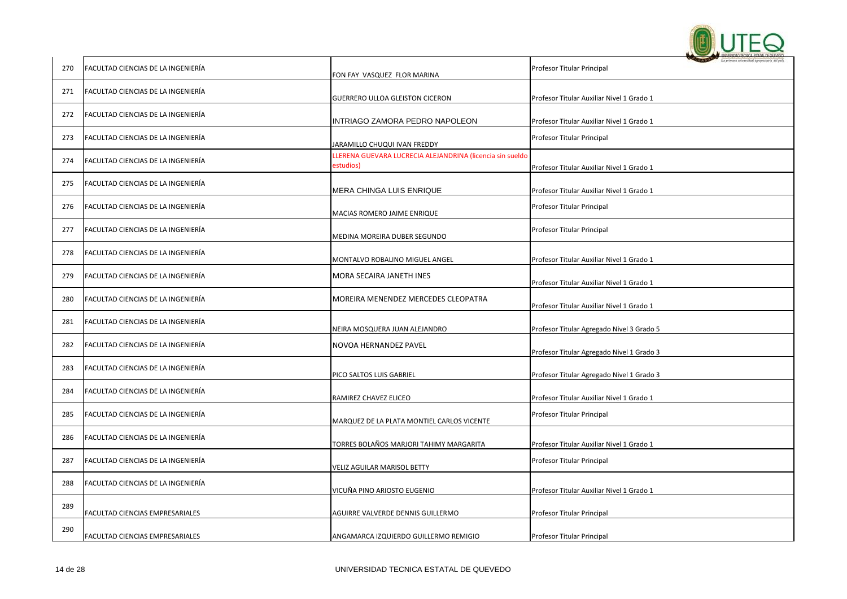

| 270 | FACULTAD CIENCIAS DE LA INGENIERÍA        | FON FAY VASQUEZ FLOR MARINA                                           | Profesor Titular Principal                |
|-----|-------------------------------------------|-----------------------------------------------------------------------|-------------------------------------------|
| 271 | <b>FACULTAD CIENCIAS DE LA INGENIERÍA</b> | GUERRERO ULLOA GLEISTON CICERON                                       | Profesor Titular Auxiliar Nivel 1 Grado 1 |
| 272 | FACULTAD CIENCIAS DE LA INGENIERÍA        | INTRIAGO ZAMORA PEDRO NAPOLEON                                        | Profesor Titular Auxiliar Nivel 1 Grado 1 |
| 273 | FACULTAD CIENCIAS DE LA INGENIERÍA        | JARAMILLO CHUQUI IVAN FREDDY                                          | Profesor Titular Principal                |
| 274 | FACULTAD CIENCIAS DE LA INGENIERÍA        | LERENA GUEVARA LUCRECIA ALEJANDRINA (licencia sin sueldo<br>estudios) | Profesor Titular Auxiliar Nivel 1 Grado 1 |
| 275 | FACULTAD CIENCIAS DE LA INGENIERÍA        | MERA CHINGA LUIS ENRIQUE                                              | Profesor Titular Auxiliar Nivel 1 Grado 1 |
| 276 | FACULTAD CIENCIAS DE LA INGENIERÍA        | MACIAS ROMERO JAIME ENRIQUE                                           | Profesor Titular Principal                |
| 277 | FACULTAD CIENCIAS DE LA INGENIERÍA        | MEDINA MOREIRA DUBER SEGUNDO                                          | Profesor Titular Principal                |
| 278 | FACULTAD CIENCIAS DE LA INGENIERÍA        | MONTALVO ROBALINO MIGUEL ANGEL                                        | Profesor Titular Auxiliar Nivel 1 Grado 1 |
| 279 | FACULTAD CIENCIAS DE LA INGENIERÍA        | MORA SECAIRA JANETH INES                                              | Profesor Titular Auxiliar Nivel 1 Grado 1 |
| 280 | FACULTAD CIENCIAS DE LA INGENIERÍA        | MOREIRA MENENDEZ MERCEDES CLEOPATRA                                   | Profesor Titular Auxiliar Nivel 1 Grado 1 |
| 281 | FACULTAD CIENCIAS DE LA INGENIERÍA        | NEIRA MOSQUERA JUAN ALEJANDRO                                         | Profesor Titular Agregado Nivel 3 Grado 5 |
| 282 | FACULTAD CIENCIAS DE LA INGENIERÍA        | NOVOA HERNANDEZ PAVEL                                                 | Profesor Titular Agregado Nivel 1 Grado 3 |
| 283 | FACULTAD CIENCIAS DE LA INGENIERÍA        | PICO SALTOS LUIS GABRIEL                                              | Profesor Titular Agregado Nivel 1 Grado 3 |
| 284 | FACULTAD CIENCIAS DE LA INGENIERÍA        | RAMIREZ CHAVEZ ELICEO                                                 | Profesor Titular Auxiliar Nivel 1 Grado 1 |
| 285 | FACULTAD CIENCIAS DE LA INGENIERÍA        | MARQUEZ DE LA PLATA MONTIEL CARLOS VICENTE                            | Profesor Titular Principal                |
| 286 | FACULTAD CIENCIAS DE LA INGENIERÍA        | TORRES BOLAÑOS MARJORI TAHIMY MARGARITA                               | Profesor Titular Auxiliar Nivel 1 Grado 1 |
| 287 | FACULTAD CIENCIAS DE LA INGENIERÍA        | VELIZ AGUILAR MARISOL BETTY                                           | Profesor Titular Principal                |
| 288 | FACULTAD CIENCIAS DE LA INGENIERÍA        | VICUÑA PINO ARIOSTO EUGENIO                                           | Profesor Titular Auxiliar Nivel 1 Grado 1 |
| 289 | FACULTAD CIENCIAS EMPRESARIALES           | AGUIRRE VALVERDE DENNIS GUILLERMO                                     | Profesor Titular Principal                |
| 290 | FACULTAD CIENCIAS EMPRESARIALES           | ANGAMARCA IZQUIERDO GUILLERMO REMIGIO                                 | Profesor Titular Principal                |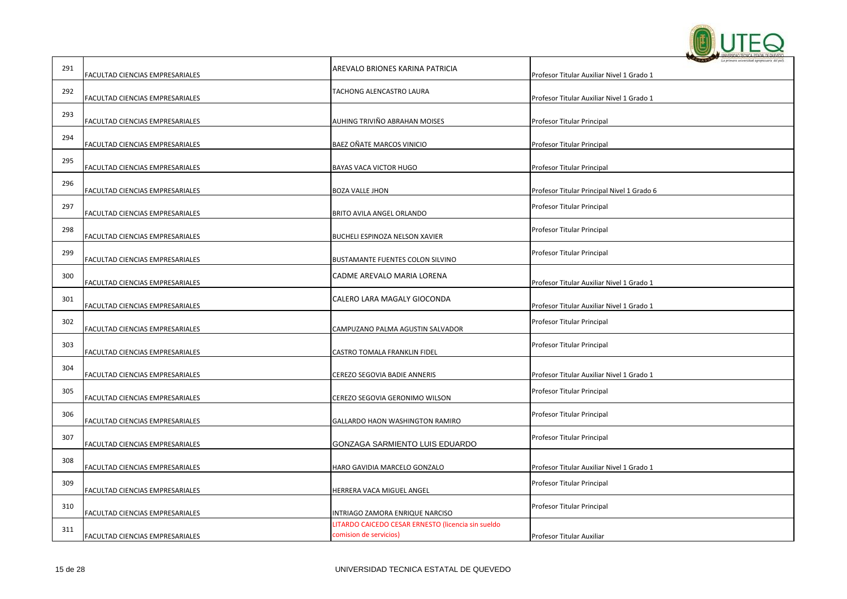

| 291 | FACULTAD CIENCIAS EMPRESARIALES | AREVALO BRIONES KARINA PATRICIA                                              | Profesor Titular Auxiliar Nivel 1 Grado 1  |
|-----|---------------------------------|------------------------------------------------------------------------------|--------------------------------------------|
| 292 | FACULTAD CIENCIAS EMPRESARIALES | TACHONG ALENCASTRO LAURA                                                     | Profesor Titular Auxiliar Nivel 1 Grado 1  |
| 293 | FACULTAD CIENCIAS EMPRESARIALES | AUHING TRIVIÑO ABRAHAN MOISES                                                | Profesor Titular Principal                 |
| 294 | FACULTAD CIENCIAS EMPRESARIALES | BAEZ OÑATE MARCOS VINICIO                                                    | Profesor Titular Principal                 |
| 295 | FACULTAD CIENCIAS EMPRESARIALES | BAYAS VACA VICTOR HUGO                                                       | Profesor Titular Principal                 |
| 296 | FACULTAD CIENCIAS EMPRESARIALES | <b>BOZA VALLE JHON</b>                                                       | Profesor Titular Principal Nivel 1 Grado 6 |
| 297 | FACULTAD CIENCIAS EMPRESARIALES | BRITO AVILA ANGEL ORLANDO                                                    | Profesor Titular Principal                 |
| 298 | FACULTAD CIENCIAS EMPRESARIALES | BUCHELI ESPINOZA NELSON XAVIER                                               | Profesor Titular Principal                 |
| 299 | FACULTAD CIENCIAS EMPRESARIALES | BUSTAMANTE FUENTES COLON SILVINO                                             | Profesor Titular Principal                 |
| 300 | FACULTAD CIENCIAS EMPRESARIALES | CADME AREVALO MARIA LORENA                                                   | Profesor Titular Auxiliar Nivel 1 Grado 1  |
| 301 | FACULTAD CIENCIAS EMPRESARIALES | CALERO LARA MAGALY GIOCONDA                                                  | Profesor Titular Auxiliar Nivel 1 Grado 1  |
| 302 | FACULTAD CIENCIAS EMPRESARIALES | CAMPUZANO PALMA AGUSTIN SALVADOR                                             | Profesor Titular Principal                 |
| 303 | FACULTAD CIENCIAS EMPRESARIALES | CASTRO TOMALA FRANKLIN FIDEL                                                 | Profesor Titular Principal                 |
| 304 | FACULTAD CIENCIAS EMPRESARIALES | CEREZO SEGOVIA BADIE ANNERIS                                                 | Profesor Titular Auxiliar Nivel 1 Grado 1  |
| 305 | FACULTAD CIENCIAS EMPRESARIALES | CEREZO SEGOVIA GERONIMO WILSON                                               | Profesor Titular Principal                 |
| 306 | FACULTAD CIENCIAS EMPRESARIALES | GALLARDO HAON WASHINGTON RAMIRO                                              | Profesor Titular Principal                 |
| 307 | FACULTAD CIENCIAS EMPRESARIALES | GONZAGA SARMIENTO LUIS EDUARDO                                               | Profesor Titular Principal                 |
| 308 | FACULTAD CIENCIAS EMPRESARIALES | HARO GAVIDIA MARCELO GONZALO                                                 | Profesor Titular Auxiliar Nivel 1 Grado 1  |
| 309 | FACULTAD CIENCIAS EMPRESARIALES | HERRERA VACA MIGUEL ANGEL                                                    | Profesor Titular Principal                 |
| 310 | FACULTAD CIENCIAS EMPRESARIALES | INTRIAGO ZAMORA ENRIQUE NARCISO                                              | Profesor Titular Principal                 |
| 311 | FACULTAD CIENCIAS EMPRESARIALES | LITARDO CAICEDO CESAR ERNESTO (licencia sin sueldo<br>comision de servicios) | Profesor Titular Auxiliar                  |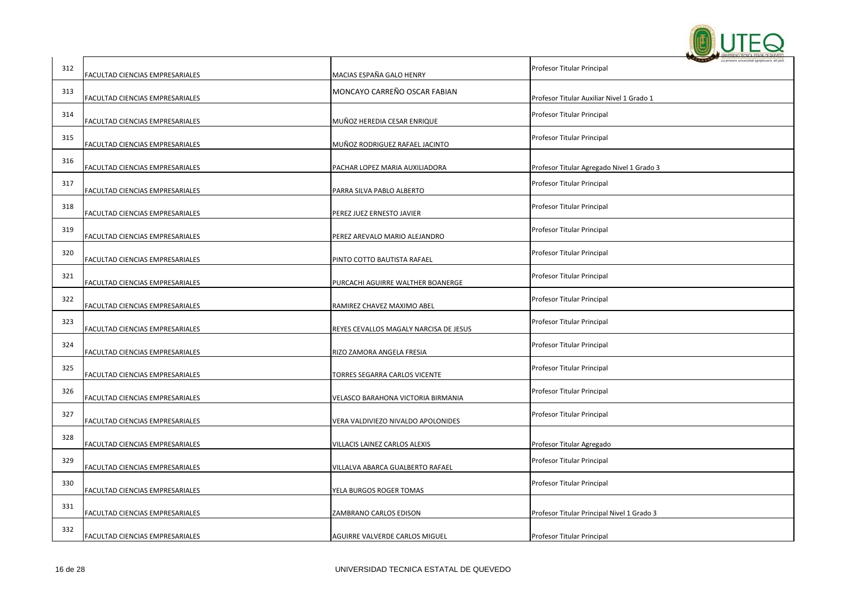

| 312 | FACULTAD CIENCIAS EMPRESARIALES | MACIAS ESPAÑA GALO HENRY               | Profesor Titular Principal                 |
|-----|---------------------------------|----------------------------------------|--------------------------------------------|
| 313 | FACULTAD CIENCIAS EMPRESARIALES | MONCAYO CARREÑO OSCAR FABIAN           | Profesor Titular Auxiliar Nivel 1 Grado 1  |
| 314 | FACULTAD CIENCIAS EMPRESARIALES | MUÑOZ HEREDIA CESAR ENRIQUE            | Profesor Titular Principal                 |
| 315 | FACULTAD CIENCIAS EMPRESARIALES | MUÑOZ RODRIGUEZ RAFAEL JACINTO         | Profesor Titular Principal                 |
| 316 | FACULTAD CIENCIAS EMPRESARIALES | PACHAR LOPEZ MARIA AUXILIADORA         | Profesor Titular Agregado Nivel 1 Grado 3  |
| 317 | FACULTAD CIENCIAS EMPRESARIALES | PARRA SILVA PABLO ALBERTO              | Profesor Titular Principal                 |
| 318 | FACULTAD CIENCIAS EMPRESARIALES | PEREZ JUEZ ERNESTO JAVIER              | Profesor Titular Principal                 |
| 319 | FACULTAD CIENCIAS EMPRESARIALES | PEREZ AREVALO MARIO ALEJANDRO          | Profesor Titular Principal                 |
| 320 | FACULTAD CIENCIAS EMPRESARIALES | PINTO COTTO BAUTISTA RAFAEL            | Profesor Titular Principal                 |
| 321 | FACULTAD CIENCIAS EMPRESARIALES | PURCACHI AGUIRRE WALTHER BOANERGE      | Profesor Titular Principal                 |
| 322 | FACULTAD CIENCIAS EMPRESARIALES | RAMIREZ CHAVEZ MAXIMO ABEL             | Profesor Titular Principal                 |
| 323 | FACULTAD CIENCIAS EMPRESARIALES | REYES CEVALLOS MAGALY NARCISA DE JESUS | Profesor Titular Principal                 |
| 324 | FACULTAD CIENCIAS EMPRESARIALES | RIZO ZAMORA ANGELA FRESIA              | Profesor Titular Principal                 |
| 325 | FACULTAD CIENCIAS EMPRESARIALES | TORRES SEGARRA CARLOS VICENTE          | Profesor Titular Principal                 |
| 326 | FACULTAD CIENCIAS EMPRESARIALES | VELASCO BARAHONA VICTORIA BIRMANIA     | Profesor Titular Principal                 |
| 327 | FACULTAD CIENCIAS EMPRESARIALES | VERA VALDIVIEZO NIVALDO APOLONIDES     | Profesor Titular Principal                 |
| 328 | FACULTAD CIENCIAS EMPRESARIALES | VILLACIS LAINEZ CARLOS ALEXIS          | Profesor Titular Agregado                  |
| 329 | FACULTAD CIENCIAS EMPRESARIALES | VILLALVA ABARCA GUALBERTO RAFAEL       | Profesor Titular Principal                 |
| 330 | FACULTAD CIENCIAS EMPRESARIALES | YELA BURGOS ROGER TOMAS                | Profesor Titular Principal                 |
| 331 | FACULTAD CIENCIAS EMPRESARIALES | ZAMBRANO CARLOS EDISON                 | Profesor Titular Principal Nivel 1 Grado 3 |
| 332 | FACULTAD CIENCIAS EMPRESARIALES | AGUIRRE VALVERDE CARLOS MIGUEL         | Profesor Titular Principal                 |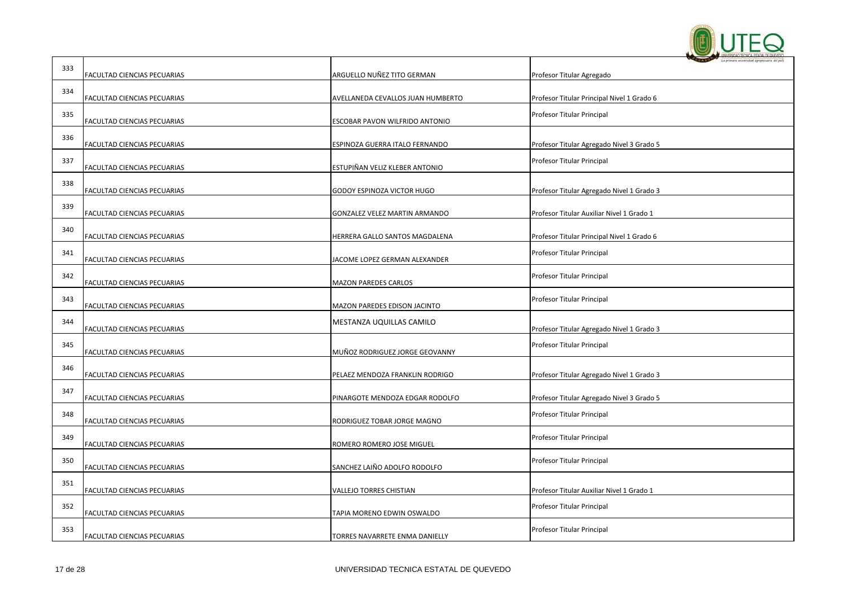

| 333 | FACULTAD CIENCIAS PECUARIAS | ARGUELLO NUÑEZ TITO GERMAN        | Profesor Titular Agregado                  |
|-----|-----------------------------|-----------------------------------|--------------------------------------------|
| 334 | FACULTAD CIENCIAS PECUARIAS | AVELLANEDA CEVALLOS JUAN HUMBERTO | Profesor Titular Principal Nivel 1 Grado 6 |
| 335 | FACULTAD CIENCIAS PECUARIAS | ESCOBAR PAVON WILFRIDO ANTONIO    | Profesor Titular Principal                 |
| 336 | FACULTAD CIENCIAS PECUARIAS | ESPINOZA GUERRA ITALO FERNANDO    | Profesor Titular Agregado Nivel 3 Grado 5  |
| 337 | FACULTAD CIENCIAS PECUARIAS | ESTUPIÑAN VELIZ KLEBER ANTONIO    | Profesor Titular Principal                 |
| 338 | FACULTAD CIENCIAS PECUARIAS | GODOY ESPINOZA VICTOR HUGO        | Profesor Titular Agregado Nivel 1 Grado 3  |
| 339 | FACULTAD CIENCIAS PECUARIAS | GONZALEZ VELEZ MARTIN ARMANDO     | Profesor Titular Auxiliar Nivel 1 Grado 1  |
| 340 | FACULTAD CIENCIAS PECUARIAS | HERRERA GALLO SANTOS MAGDALENA    | Profesor Titular Principal Nivel 1 Grado 6 |
| 341 | FACULTAD CIENCIAS PECUARIAS | JACOME LOPEZ GERMAN ALEXANDER     | Profesor Titular Principal                 |
| 342 | FACULTAD CIENCIAS PECUARIAS | MAZON PAREDES CARLOS              | Profesor Titular Principal                 |
| 343 | FACULTAD CIENCIAS PECUARIAS | MAZON PAREDES EDISON JACINTO      | Profesor Titular Principal                 |
| 344 | FACULTAD CIENCIAS PECUARIAS | MESTANZA UQUILLAS CAMILO          | Profesor Titular Agregado Nivel 1 Grado 3  |
| 345 | FACULTAD CIENCIAS PECUARIAS | MUÑOZ RODRIGUEZ JORGE GEOVANNY    | Profesor Titular Principal                 |
| 346 | FACULTAD CIENCIAS PECUARIAS | PELAEZ MENDOZA FRANKLIN RODRIGO   | Profesor Titular Agregado Nivel 1 Grado 3  |
| 347 | FACULTAD CIENCIAS PECUARIAS | PINARGOTE MENDOZA EDGAR RODOLFO   | Profesor Titular Agregado Nivel 3 Grado 5  |
| 348 | FACULTAD CIENCIAS PECUARIAS | RODRIGUEZ TOBAR JORGE MAGNO       | Profesor Titular Principal                 |
| 349 | FACULTAD CIENCIAS PECUARIAS | ROMERO ROMERO JOSE MIGUEL         | Profesor Titular Principal                 |
| 350 | FACULTAD CIENCIAS PECUARIAS | SANCHEZ LAIÑO ADOLFO RODOLFO      | Profesor Titular Principal                 |
| 351 | FACULTAD CIENCIAS PECUARIAS | VALLEJO TORRES CHISTIAN           | Profesor Titular Auxiliar Nivel 1 Grado 1  |
| 352 | FACULTAD CIENCIAS PECUARIAS | TAPIA MORENO EDWIN OSWALDO        | Profesor Titular Principal                 |
| 353 | FACULTAD CIENCIAS PECUARIAS | TORRES NAVARRETE ENMA DANIELLY    | Profesor Titular Principal                 |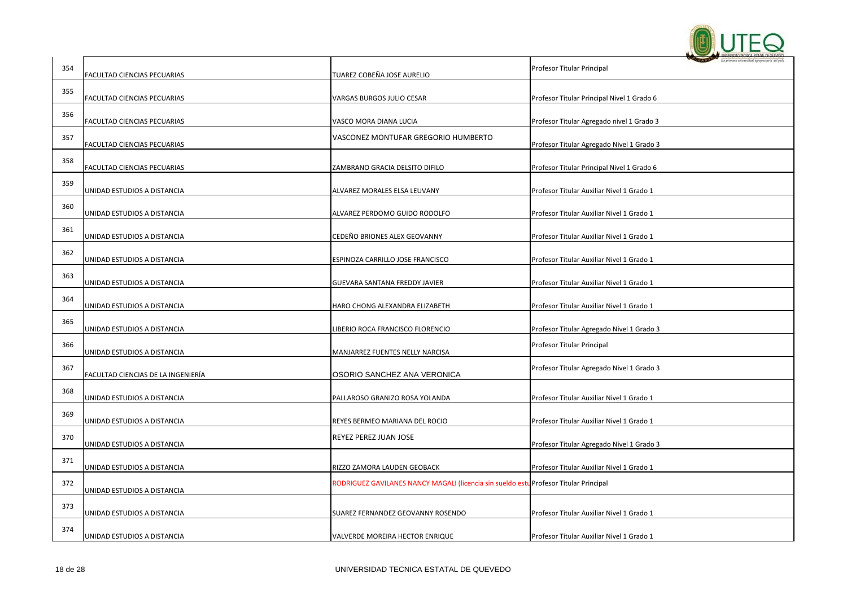

| 354 | FACULTAD CIENCIAS PECUARIAS        | TUAREZ COBEÑA JOSE AURELIO                                                            | La primera universidad aproperuaria del pa<br>Profesor Titular Principal |
|-----|------------------------------------|---------------------------------------------------------------------------------------|--------------------------------------------------------------------------|
| 355 | FACULTAD CIENCIAS PECUARIAS        | VARGAS BURGOS JULIO CESAR                                                             | Profesor Titular Principal Nivel 1 Grado 6                               |
| 356 | FACULTAD CIENCIAS PECUARIAS        | VASCO MORA DIANA LUCIA                                                                | Profesor Titular Agregado nivel 1 Grado 3                                |
| 357 |                                    | VASCONEZ MONTUFAR GREGORIO HUMBERTO                                                   |                                                                          |
| 358 | FACULTAD CIENCIAS PECUARIAS        |                                                                                       | Profesor Titular Agregado Nivel 1 Grado 3                                |
| 359 | FACULTAD CIENCIAS PECUARIAS        | ZAMBRANO GRACIA DELSITO DIFILO                                                        | Profesor Titular Principal Nivel 1 Grado 6                               |
| 360 | UNIDAD ESTUDIOS A DISTANCIA        | ALVAREZ MORALES ELSA LEUVANY                                                          | Profesor Titular Auxiliar Nivel 1 Grado 1                                |
|     | UNIDAD ESTUDIOS A DISTANCIA        | ALVAREZ PERDOMO GUIDO RODOLFO                                                         | Profesor Titular Auxiliar Nivel 1 Grado 1                                |
| 361 | UNIDAD ESTUDIOS A DISTANCIA        | CEDEÑO BRIONES ALEX GEOVANNY                                                          | Profesor Titular Auxiliar Nivel 1 Grado 1                                |
| 362 | UNIDAD ESTUDIOS A DISTANCIA        | ESPINOZA CARRILLO JOSE FRANCISCO                                                      | Profesor Titular Auxiliar Nivel 1 Grado 1                                |
| 363 | UNIDAD ESTUDIOS A DISTANCIA        | GUEVARA SANTANA FREDDY JAVIER                                                         | Profesor Titular Auxiliar Nivel 1 Grado 1                                |
| 364 | UNIDAD ESTUDIOS A DISTANCIA        | HARO CHONG ALEXANDRA ELIZABETH                                                        | Profesor Titular Auxiliar Nivel 1 Grado 1                                |
| 365 | UNIDAD ESTUDIOS A DISTANCIA        | LIBERIO ROCA FRANCISCO FLORENCIO                                                      | Profesor Titular Agregado Nivel 1 Grado 3                                |
| 366 | UNIDAD ESTUDIOS A DISTANCIA        | MANJARREZ FUENTES NELLY NARCISA                                                       | Profesor Titular Principal                                               |
| 367 | FACULTAD CIENCIAS DE LA INGENIERÍA | OSORIO SANCHEZ ANA VERONICA                                                           | Profesor Titular Agregado Nivel 1 Grado 3                                |
| 368 | UNIDAD ESTUDIOS A DISTANCIA        | PALLAROSO GRANIZO ROSA YOLANDA                                                        | Profesor Titular Auxiliar Nivel 1 Grado 1                                |
| 369 | UNIDAD ESTUDIOS A DISTANCIA        | REYES BERMEO MARIANA DEL ROCIO                                                        | Profesor Titular Auxiliar Nivel 1 Grado 1                                |
| 370 | UNIDAD ESTUDIOS A DISTANCIA        | REYEZ PEREZ JUAN JOSE                                                                 | Profesor Titular Agregado Nivel 1 Grado 3                                |
| 371 | UNIDAD ESTUDIOS A DISTANCIA        | RIZZO ZAMORA LAUDEN GEOBACK                                                           | Profesor Titular Auxiliar Nivel 1 Grado 1                                |
| 372 | UNIDAD ESTUDIOS A DISTANCIA        | RODRIGUEZ GAVILANES NANCY MAGALI (licencia sin sueldo estu Profesor Titular Principal |                                                                          |
| 373 | UNIDAD ESTUDIOS A DISTANCIA        | SUAREZ FERNANDEZ GEOVANNY ROSENDO                                                     | Profesor Titular Auxiliar Nivel 1 Grado 1                                |
| 374 | UNIDAD ESTUDIOS A DISTANCIA        | VALVERDE MOREIRA HECTOR ENRIQUE                                                       | Profesor Titular Auxiliar Nivel 1 Grado 1                                |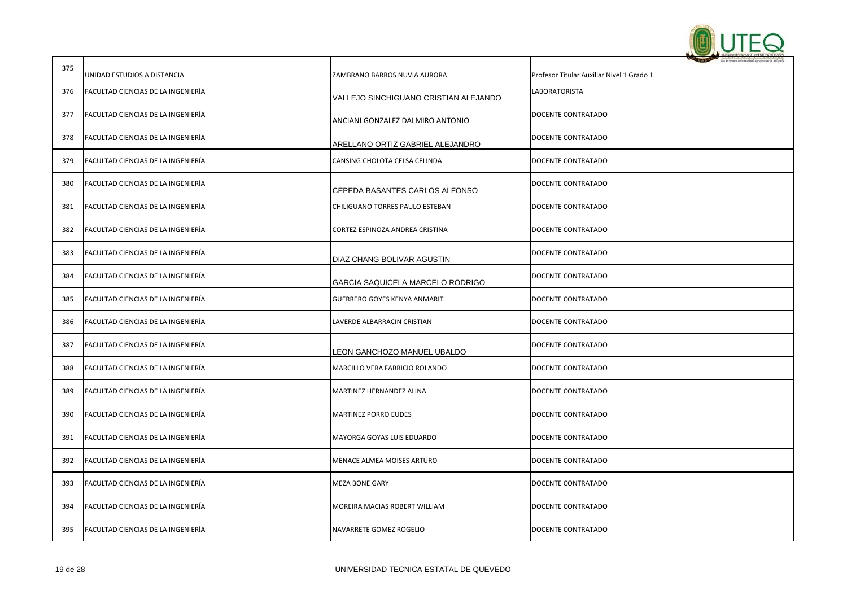

|     |                                    |                                       | La primera selettridad agreptosaria del pa |
|-----|------------------------------------|---------------------------------------|--------------------------------------------|
| 375 | UNIDAD ESTUDIOS A DISTANCIA        | ZAMBRANO BARROS NUVIA AURORA          | Profesor Titular Auxiliar Nivel 1 Grado 1  |
| 376 | FACULTAD CIENCIAS DE LA INGENIERÍA | VALLEJO SINCHIGUANO CRISTIAN ALEJANDO | LABORATORISTA                              |
| 377 | FACULTAD CIENCIAS DE LA INGENIERÍA | ANCIANI GONZALEZ DALMIRO ANTONIO      | DOCENTE CONTRATADO                         |
| 378 | FACULTAD CIENCIAS DE LA INGENIERÍA | ARELLANO ORTIZ GABRIEL ALEJANDRO      | DOCENTE CONTRATADO                         |
| 379 | FACULTAD CIENCIAS DE LA INGENIERÍA | CANSING CHOLOTA CELSA CELINDA         | DOCENTE CONTRATADO                         |
| 380 | FACULTAD CIENCIAS DE LA INGENIERIA | CEPEDA BASANTES CARLOS ALFONSO        | DOCENTE CONTRATADO                         |
| 381 | FACULTAD CIENCIAS DE LA INGENIERÍA | CHILIGUANO TORRES PAULO ESTEBAN       | DOCENTE CONTRATADO                         |
| 382 | FACULTAD CIENCIAS DE LA INGENIERÍA | CORTEZ ESPINOZA ANDREA CRISTINA       | DOCENTE CONTRATADO                         |
| 383 | FACULTAD CIENCIAS DE LA INGENIERÍA | DIAZ CHANG BOLIVAR AGUSTIN            | DOCENTE CONTRATADO                         |
| 384 | FACULTAD CIENCIAS DE LA INGENIERÍA | GARCIA SAQUICELA MARCELO RODRIGO      | DOCENTE CONTRATADO                         |
| 385 | FACULTAD CIENCIAS DE LA INGENIERÍA | <b>GUERRERO GOYES KENYA ANMARIT</b>   | DOCENTE CONTRATADO                         |
| 386 | FACULTAD CIENCIAS DE LA INGENIERÍA | LAVERDE ALBARRACIN CRISTIAN           | DOCENTE CONTRATADO                         |
| 387 | FACULTAD CIENCIAS DE LA INGENIERÍA | LEON GANCHOZO MANUEL UBALDO           | DOCENTE CONTRATADO                         |
| 388 | FACULTAD CIENCIAS DE LA INGENIERÍA | MARCILLO VERA FABRICIO ROLANDO        | DOCENTE CONTRATADO                         |
| 389 | FACULTAD CIENCIAS DE LA INGENIERÍA | MARTINEZ HERNANDEZ ALINA              | DOCENTE CONTRATADO                         |
| 390 | FACULTAD CIENCIAS DE LA INGENIERÍA | <b>MARTINEZ PORRO EUDES</b>           | DOCENTE CONTRATADO                         |
| 391 | FACULTAD CIENCIAS DE LA INGENIERÍA | <b>MAYORGA GOYAS LUIS EDUARDO</b>     | DOCENTE CONTRATADO                         |
| 392 | FACULTAD CIENCIAS DE LA INGENIERÍA | MENACE ALMEA MOISES ARTURO            | DOCENTE CONTRATADO                         |
| 393 | FACULTAD CIENCIAS DE LA INGENIERÍA | <b>MEZA BONE GARY</b>                 | DOCENTE CONTRATADO                         |
| 394 | FACULTAD CIENCIAS DE LA INGENIERÍA | MOREIRA MACIAS ROBERT WILLIAM         | DOCENTE CONTRATADO                         |
| 395 | FACULTAD CIENCIAS DE LA INGENIERÍA | NAVARRETE GOMEZ ROGELIO               | DOCENTE CONTRATADO                         |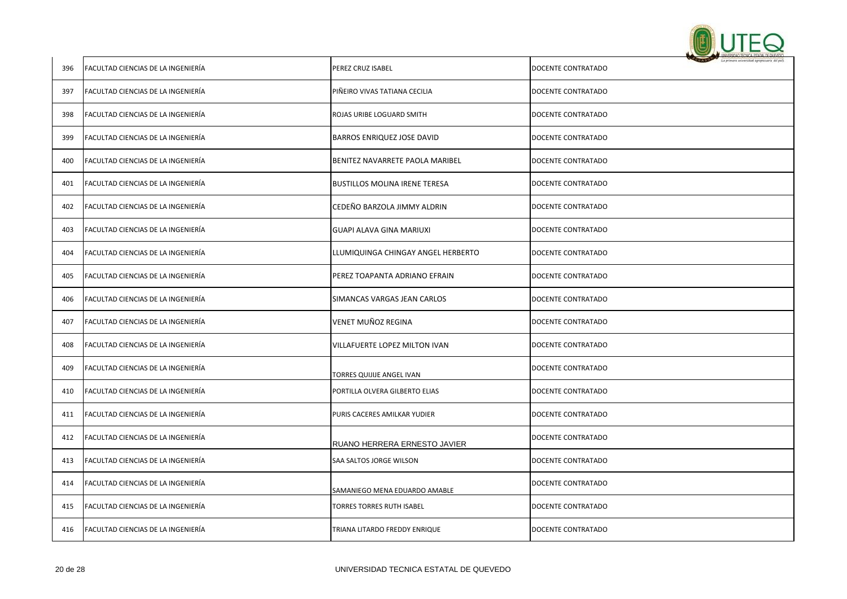

| 396 | FACULTAD CIENCIAS DE LA INGENIERÍA | PEREZ CRUZ ISABEL                    | DOCENTE CONTRATADO |
|-----|------------------------------------|--------------------------------------|--------------------|
| 397 | FACULTAD CIENCIAS DE LA INGENIERÍA | PIÑEIRO VIVAS TATIANA CECILIA        | DOCENTE CONTRATADO |
| 398 | FACULTAD CIENCIAS DE LA INGENIERÍA | ROJAS URIBE LOGUARD SMITH            | DOCENTE CONTRATADO |
| 399 | FACULTAD CIENCIAS DE LA INGENIERÍA | BARROS ENRIQUEZ JOSE DAVID           | DOCENTE CONTRATADO |
| 400 | FACULTAD CIENCIAS DE LA INGENIERÍA | BENITEZ NAVARRETE PAOLA MARIBEL      | DOCENTE CONTRATADO |
| 401 | FACULTAD CIENCIAS DE LA INGENIERÍA | <b>BUSTILLOS MOLINA IRENE TERESA</b> | DOCENTE CONTRATADO |
| 402 | FACULTAD CIENCIAS DE LA INGENIERÍA | CEDEÑO BARZOLA JIMMY ALDRIN          | DOCENTE CONTRATADO |
| 403 | FACULTAD CIENCIAS DE LA INGENIERÍA | GUAPI ALAVA GINA MARIUXI             | DOCENTE CONTRATADO |
| 404 | FACULTAD CIENCIAS DE LA INGENIERÍA | LLUMIQUINGA CHINGAY ANGEL HERBERTO   | DOCENTE CONTRATADO |
| 405 | FACULTAD CIENCIAS DE LA INGENIERÍA | PEREZ TOAPANTA ADRIANO EFRAIN        | DOCENTE CONTRATADO |
| 406 | FACULTAD CIENCIAS DE LA INGENIERÍA | SIMANCAS VARGAS JEAN CARLOS          | DOCENTE CONTRATADO |
| 407 | FACULTAD CIENCIAS DE LA INGENIERÍA | VENET MUÑOZ REGINA                   | DOCENTE CONTRATADO |
| 408 | FACULTAD CIENCIAS DE LA INGENIERÍA | VILLAFUERTE LOPEZ MILTON IVAN        | DOCENTE CONTRATADO |
| 409 | FACULTAD CIENCIAS DE LA INGENIERÍA | TORRES QUIJIJE ANGEL IVAN            | DOCENTE CONTRATADO |
| 410 | FACULTAD CIENCIAS DE LA INGENIERÍA | PORTILLA OLVERA GILBERTO ELIAS       | DOCENTE CONTRATADO |
| 411 | FACULTAD CIENCIAS DE LA INGENIERÍA | PURIS CACERES AMILKAR YUDIER         | DOCENTE CONTRATADO |
| 412 | FACULTAD CIENCIAS DE LA INGENIERÍA | RUANO HERRERA ERNESTO JAVIER         | DOCENTE CONTRATADO |
| 413 | FACULTAD CIENCIAS DE LA INGENIERÍA | SAA SALTOS JORGE WILSON              | DOCENTE CONTRATADO |
| 414 | FACULTAD CIENCIAS DE LA INGENIERÍA | SAMANIEGO MENA EDUARDO AMABLE        | DOCENTE CONTRATADO |
| 415 | FACULTAD CIENCIAS DE LA INGENIERÍA | <b>TORRES TORRES RUTH ISABEL</b>     | DOCENTE CONTRATADO |
| 416 | FACULTAD CIENCIAS DE LA INGENIERÍA | TRIANA LITARDO FREDDY ENRIQUE        | DOCENTE CONTRATADO |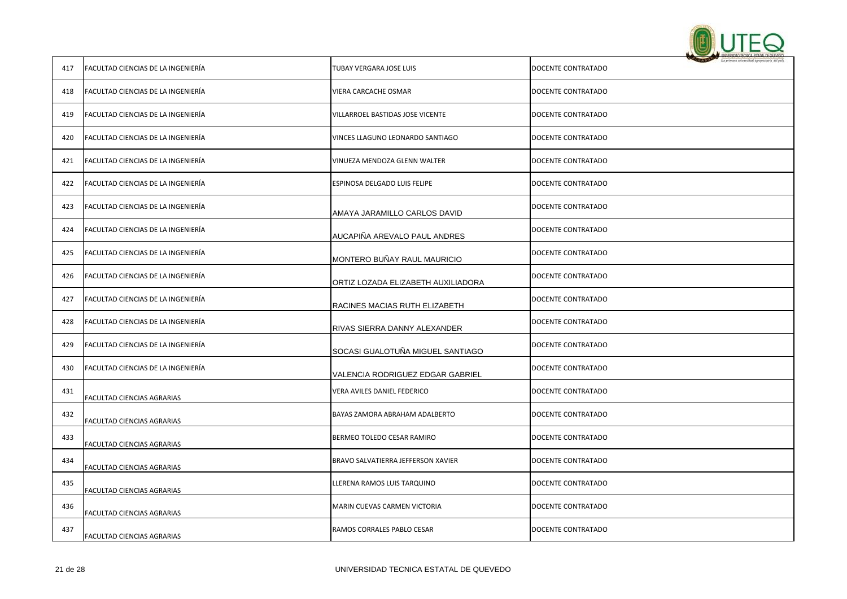

| 417 | FACULTAD CIENCIAS DE LA INGENIERÍA | TUBAY VERGARA JOSE LUIS            | DOCENTE CONTRATADO |
|-----|------------------------------------|------------------------------------|--------------------|
| 418 | FACULTAD CIENCIAS DE LA INGENIERÍA | VIERA CARCACHE OSMAR               | DOCENTE CONTRATADO |
| 419 | FACULTAD CIENCIAS DE LA INGENIERÍA | VILLARROEL BASTIDAS JOSE VICENTE   | DOCENTE CONTRATADO |
| 420 | FACULTAD CIENCIAS DE LA INGENIERÍA | VINCES LLAGUNO LEONARDO SANTIAGO   | DOCENTE CONTRATADO |
| 421 | FACULTAD CIENCIAS DE LA INGENIERÍA | VINUEZA MENDOZA GLENN WALTER       | DOCENTE CONTRATADO |
| 422 | FACULTAD CIENCIAS DE LA INGENIERÍA | ESPINOSA DELGADO LUIS FELIPE       | DOCENTE CONTRATADO |
| 423 | FACULTAD CIENCIAS DE LA INGENIERÍA | AMAYA JARAMILLO CARLOS DAVID       | DOCENTE CONTRATADO |
| 424 | FACULTAD CIENCIAS DE LA INGENIERÍA | AUCAPIÑA AREVALO PAUL ANDRES       | DOCENTE CONTRATADO |
| 425 | FACULTAD CIENCIAS DE LA INGENIERÍA | MONTERO BUÑAY RAUL MAURICIO        | DOCENTE CONTRATADO |
| 426 | FACULTAD CIENCIAS DE LA INGENIERÍA | ORTIZ LOZADA ELIZABETH AUXILIADORA | DOCENTE CONTRATADO |
| 427 | FACULTAD CIENCIAS DE LA INGENIERÍA | RACINES MACIAS RUTH ELIZABETH      | DOCENTE CONTRATADO |
| 428 | FACULTAD CIENCIAS DE LA INGENIERÍA | RIVAS SIERRA DANNY ALEXANDER       | DOCENTE CONTRATADO |
| 429 | FACULTAD CIENCIAS DE LA INGENIERÍA | SOCASI GUALOTUÑA MIGUEL SANTIAGO   | DOCENTE CONTRATADO |
| 430 | FACULTAD CIENCIAS DE LA INGENIERÍA | VALENCIA RODRIGUEZ EDGAR GABRIEL   | DOCENTE CONTRATADO |
| 431 | FACULTAD CIENCIAS AGRARIAS         | VERA AVILES DANIEL FEDERICO        | DOCENTE CONTRATADO |
| 432 | FACULTAD CIENCIAS AGRARIAS         | BAYAS ZAMORA ABRAHAM ADALBERTO     | DOCENTE CONTRATADO |
| 433 | <b>FACULTAD CIENCIAS AGRARIAS</b>  | BERMEO TOLEDO CESAR RAMIRO         | DOCENTE CONTRATADO |
| 434 | FACULTAD CIENCIAS AGRARIAS         | BRAVO SALVATIERRA JEFFERSON XAVIER | DOCENTE CONTRATADO |
| 435 | FACULTAD CIENCIAS AGRARIAS         | LLERENA RAMOS LUIS TARQUINO        | DOCENTE CONTRATADO |
| 436 | FACULTAD CIENCIAS AGRARIAS         | MARIN CUEVAS CARMEN VICTORIA       | DOCENTE CONTRATADO |
| 437 | FACULTAD CIENCIAS AGRARIAS         | RAMOS CORRALES PABLO CESAR         | DOCENTE CONTRATADO |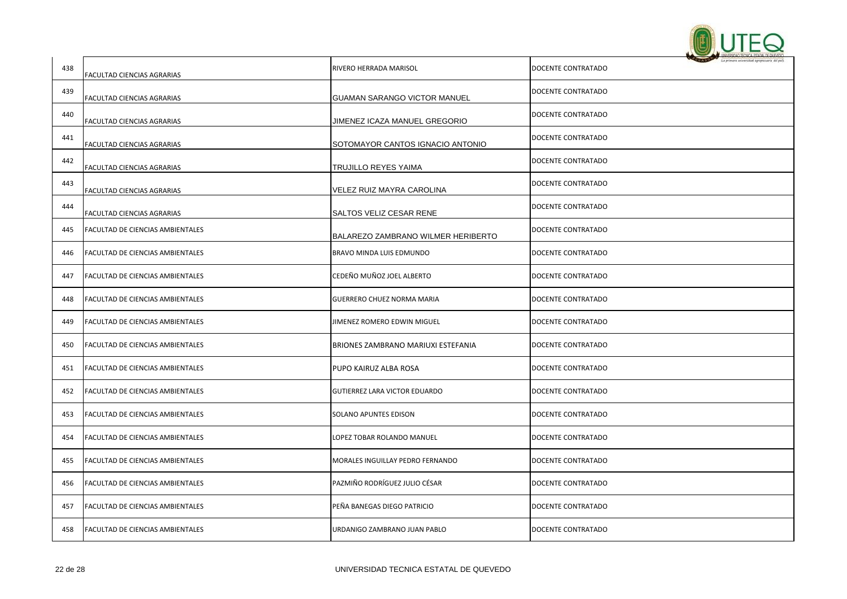

| 438 | FACULTAD CIENCIAS AGRARIAS              | RIVERO HERRADA MARISOL              | DOCENTE CONTRATADO |
|-----|-----------------------------------------|-------------------------------------|--------------------|
| 439 | FACULTAD CIENCIAS AGRARIAS              | <b>GUAMAN SARANGO VICTOR MANUEL</b> | DOCENTE CONTRATADO |
| 440 | FACULTAD CIENCIAS AGRARIAS              | JIMENEZ ICAZA MANUEL GREGORIO       | DOCENTE CONTRATADO |
| 441 | FACULTAD CIENCIAS AGRARIAS              | SOTOMAYOR CANTOS IGNACIO ANTONIO    | DOCENTE CONTRATADO |
| 442 | FACULTAD CIENCIAS AGRARIAS              | TRUJILLO REYES YAIMA                | DOCENTE CONTRATADO |
| 443 | FACULTAD CIENCIAS AGRARIAS              | VELEZ RUIZ MAYRA CAROLINA           | DOCENTE CONTRATADO |
| 444 | FACULTAD CIENCIAS AGRARIAS              | SALTOS VELIZ CESAR RENE             | DOCENTE CONTRATADO |
| 445 | <b>FACULTAD DE CIENCIAS AMBIENTALES</b> | BALAREZO ZAMBRANO WILMER HERIBERTO  | DOCENTE CONTRATADO |
| 446 | <b>FACULTAD DE CIENCIAS AMBIENTALES</b> | BRAVO MINDA LUIS EDMUNDO            | DOCENTE CONTRATADO |
| 447 | FACULTAD DE CIENCIAS AMBIENTALES        | CEDEÑO MUÑOZ JOEL ALBERTO           | DOCENTE CONTRATADO |
| 448 | <b>FACULTAD DE CIENCIAS AMBIENTALES</b> | GUERRERO CHUEZ NORMA MARIA          | DOCENTE CONTRATADO |
| 449 | <b>FACULTAD DE CIENCIAS AMBIENTALES</b> | JIMENEZ ROMERO EDWIN MIGUEL         | DOCENTE CONTRATADO |
| 450 | FACULTAD DE CIENCIAS AMBIENTALES        | BRIONES ZAMBRANO MARIUXI ESTEFANIA  | DOCENTE CONTRATADO |
| 451 | <b>FACULTAD DE CIENCIAS AMBIENTALES</b> | PUPO KAIRUZ ALBA ROSA               | DOCENTE CONTRATADO |
| 452 | <b>FACULTAD DE CIENCIAS AMBIENTALES</b> | GUTIERREZ LARA VICTOR EDUARDO       | DOCENTE CONTRATADO |
| 453 | FACULTAD DE CIENCIAS AMBIENTALES        | SOLANO APUNTES EDISON               | DOCENTE CONTRATADO |
| 454 | <b>FACULTAD DE CIENCIAS AMBIENTALES</b> | LOPEZ TOBAR ROLANDO MANUEL          | DOCENTE CONTRATADO |
| 455 | <b>FACULTAD DE CIENCIAS AMBIENTALES</b> | MORALES INGUILLAY PEDRO FERNANDO    | DOCENTE CONTRATADO |
| 456 | FACULTAD DE CIENCIAS AMBIENTALES        | PAZMIÑO RODRÍGUEZ JULIO CÉSAR       | DOCENTE CONTRATADO |
| 457 | <b>FACULTAD DE CIENCIAS AMBIENTALES</b> | PEÑA BANEGAS DIEGO PATRICIO         | DOCENTE CONTRATADO |
| 458 | <b>FACULTAD DE CIENCIAS AMBIENTALES</b> | URDANIGO ZAMBRANO JUAN PABLO        | DOCENTE CONTRATADO |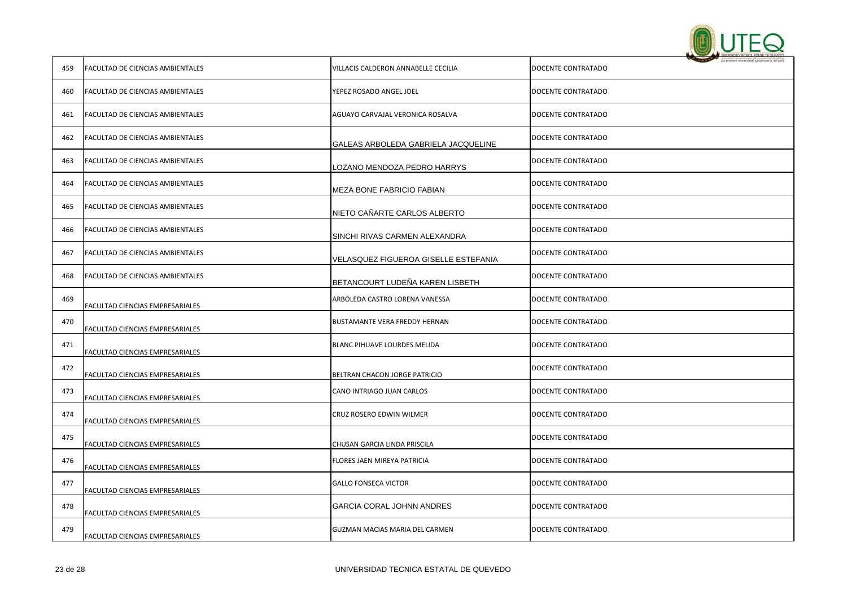

| 459 | FACULTAD DE CIENCIAS AMBIENTALES | VILLACIS CALDERON ANNABELLE CECILIA  | DOCENTE CONTRATADO |
|-----|----------------------------------|--------------------------------------|--------------------|
| 460 | FACULTAD DE CIENCIAS AMBIENTALES | YEPEZ ROSADO ANGEL JOEL              | DOCENTE CONTRATADO |
| 461 | FACULTAD DE CIENCIAS AMBIENTALES | AGUAYO CARVAJAL VERONICA ROSALVA     | DOCENTE CONTRATADO |
| 462 | FACULTAD DE CIENCIAS AMBIENTALES | GALEAS ARBOLEDA GABRIELA JACQUELINE  | DOCENTE CONTRATADO |
| 463 | FACULTAD DE CIENCIAS AMBIENTALES | LOZANO MENDOZA PEDRO HARRYS          | DOCENTE CONTRATADO |
| 464 | FACULTAD DE CIENCIAS AMBIENTALES | MEZA BONE FABRICIO FABIAN            | DOCENTE CONTRATADO |
| 465 | FACULTAD DE CIENCIAS AMBIENTALES | NIETO CAÑARTE CARLOS ALBERTO         | DOCENTE CONTRATADO |
| 466 | FACULTAD DE CIENCIAS AMBIENTALES | SINCHI RIVAS CARMEN ALEXANDRA        | DOCENTE CONTRATADO |
| 467 | FACULTAD DE CIENCIAS AMBIENTALES | VELASQUEZ FIGUEROA GISELLE ESTEFANIA | DOCENTE CONTRATADO |
| 468 | FACULTAD DE CIENCIAS AMBIENTALES | BETANCOURT LUDEÑA KAREN LISBETH      | DOCENTE CONTRATADO |
| 469 | FACULTAD CIENCIAS EMPRESARIALES  | ARBOLEDA CASTRO LORENA VANESSA       | DOCENTE CONTRATADO |
| 470 | FACULTAD CIENCIAS EMPRESARIALES  | BUSTAMANTE VERA FREDDY HERNAN        | DOCENTE CONTRATADO |
| 471 | FACULTAD CIENCIAS EMPRESARIALES  | BLANC PIHUAVE LOURDES MELIDA         | DOCENTE CONTRATADO |
| 472 | FACULTAD CIENCIAS EMPRESARIALES  | BELTRAN CHACON JORGE PATRICIO        | DOCENTE CONTRATADO |
| 473 | FACULTAD CIENCIAS EMPRESARIALES  | CANO INTRIAGO JUAN CARLOS            | DOCENTE CONTRATADO |
| 474 | FACULTAD CIENCIAS EMPRESARIALES  | CRUZ ROSERO EDWIN WILMER             | DOCENTE CONTRATADO |
| 475 | FACULTAD CIENCIAS EMPRESARIALES  | CHUSAN GARCIA LINDA PRISCILA         | DOCENTE CONTRATADO |
| 476 | FACULTAD CIENCIAS EMPRESARIALES  | FLORES JAEN MIREYA PATRICIA          | DOCENTE CONTRATADO |
| 477 | FACULTAD CIENCIAS EMPRESARIALES  | <b>GALLO FONSECA VICTOR</b>          | DOCENTE CONTRATADO |
| 478 | FACULTAD CIENCIAS EMPRESARIALES  | <b>GARCIA CORAL JOHNN ANDRES</b>     | DOCENTE CONTRATADO |
| 479 | FACULTAD CIENCIAS EMPRESARIALES  | GUZMAN MACIAS MARIA DEL CARMEN       | DOCENTE CONTRATADO |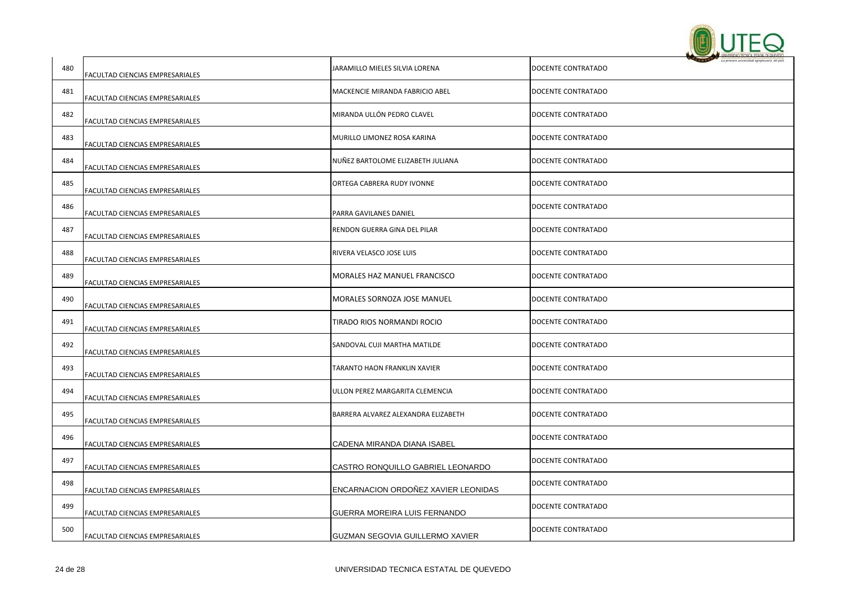

| 480 | FACULTAD CIENCIAS EMPRESARIALES | JARAMILLO MIELES SILVIA LORENA      | DOCENTE CONTRATADO |
|-----|---------------------------------|-------------------------------------|--------------------|
| 481 | FACULTAD CIENCIAS EMPRESARIALES | MACKENCIE MIRANDA FABRICIO ABEL     | DOCENTE CONTRATADO |
| 482 | FACULTAD CIENCIAS EMPRESARIALES | MIRANDA ULLÓN PEDRO CLAVEL          | DOCENTE CONTRATADO |
| 483 | FACULTAD CIENCIAS EMPRESARIALES | MURILLO LIMONEZ ROSA KARINA         | DOCENTE CONTRATADO |
| 484 | FACULTAD CIENCIAS EMPRESARIALES | NUÑEZ BARTOLOME ELIZABETH JULIANA   | DOCENTE CONTRATADO |
| 485 | FACULTAD CIENCIAS EMPRESARIALES | ORTEGA CABRERA RUDY IVONNE          | DOCENTE CONTRATADO |
| 486 | FACULTAD CIENCIAS EMPRESARIALES | PARRA GAVILANES DANIEL              | DOCENTE CONTRATADO |
| 487 | FACULTAD CIENCIAS EMPRESARIALES | RENDON GUERRA GINA DEL PILAR        | DOCENTE CONTRATADO |
| 488 | FACULTAD CIENCIAS EMPRESARIALES | RIVERA VELASCO JOSE LUIS            | DOCENTE CONTRATADO |
| 489 | FACULTAD CIENCIAS EMPRESARIALES | <b>MORALES HAZ MANUEL FRANCISCO</b> | DOCENTE CONTRATADO |
| 490 | FACULTAD CIENCIAS EMPRESARIALES | MORALES SORNOZA JOSE MANUEL         | DOCENTE CONTRATADO |
| 491 | FACULTAD CIENCIAS EMPRESARIALES | TIRADO RIOS NORMANDI ROCIO          | DOCENTE CONTRATADO |
| 492 | FACULTAD CIENCIAS EMPRESARIALES | SANDOVAL CUJI MARTHA MATILDE        | DOCENTE CONTRATADO |
| 493 | FACULTAD CIENCIAS EMPRESARIALES | TARANTO HAON FRANKLIN XAVIER        | DOCENTE CONTRATADO |
| 494 | FACULTAD CIENCIAS EMPRESARIALES | ULLON PEREZ MARGARITA CLEMENCIA     | DOCENTE CONTRATADO |
| 495 | FACULTAD CIENCIAS EMPRESARIALES | BARRERA ALVAREZ ALEXANDRA ELIZABETH | DOCENTE CONTRATADO |
| 496 | FACULTAD CIENCIAS EMPRESARIALES | CADENA MIRANDA DIANA ISABEL         | DOCENTE CONTRATADO |
| 497 | FACULTAD CIENCIAS EMPRESARIALES | CASTRO RONQUILLO GABRIEL LEONARDO   | DOCENTE CONTRATADO |
| 498 | FACULTAD CIENCIAS EMPRESARIALES | ENCARNACION ORDOÑEZ XAVIER LEONIDAS | DOCENTE CONTRATADO |
| 499 | FACULTAD CIENCIAS EMPRESARIALES | GUERRA MOREIRA LUIS FERNANDO        | DOCENTE CONTRATADO |
| 500 | FACULTAD CIENCIAS EMPRESARIALES | GUZMAN SEGOVIA GUILLERMO XAVIER     | DOCENTE CONTRATADO |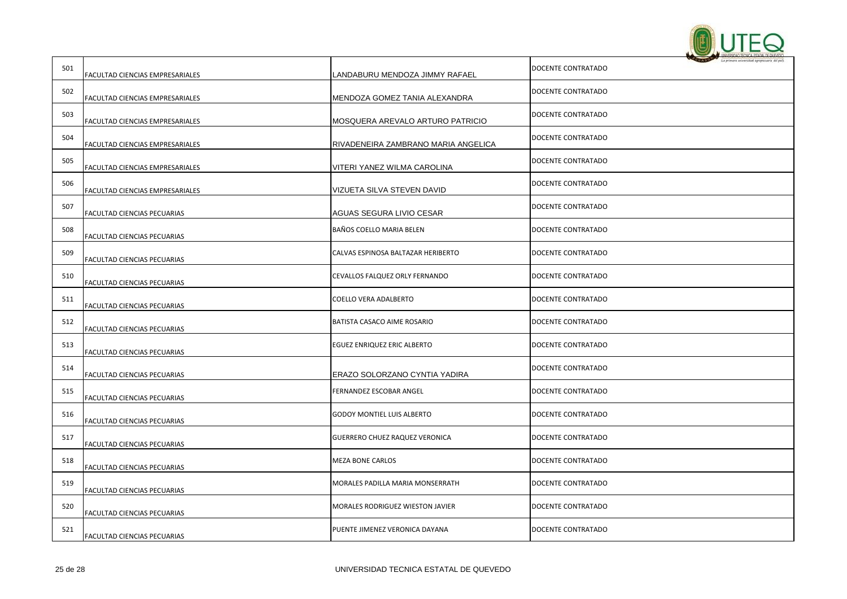

| 501 | FACULTAD CIENCIAS EMPRESARIALES    | LANDABURU MENDOZA JIMMY RAFAEL        | DOCENTE CONTRATADO |
|-----|------------------------------------|---------------------------------------|--------------------|
| 502 | FACULTAD CIENCIAS EMPRESARIALES    | MENDOZA GOMEZ TANIA ALEXANDRA         | DOCENTE CONTRATADO |
| 503 | FACULTAD CIENCIAS EMPRESARIALES    | MOSQUERA AREVALO ARTURO PATRICIO      | DOCENTE CONTRATADO |
| 504 | FACULTAD CIENCIAS EMPRESARIALES    | RIVADENEIRA ZAMBRANO MARIA ANGELICA   | DOCENTE CONTRATADO |
| 505 | FACULTAD CIENCIAS EMPRESARIALES    | VITERI YANEZ WILMA CAROLINA           | DOCENTE CONTRATADO |
| 506 | FACULTAD CIENCIAS EMPRESARIALES    | VIZUETA SILVA STEVEN DAVID            | DOCENTE CONTRATADO |
| 507 | FACULTAD CIENCIAS PECUARIAS        | AGUAS SEGURA LIVIO CESAR              | DOCENTE CONTRATADO |
| 508 | FACULTAD CIENCIAS PECUARIAS        | BAÑOS COELLO MARIA BELEN              | DOCENTE CONTRATADO |
| 509 | FACULTAD CIENCIAS PECUARIAS        | CALVAS ESPINOSA BALTAZAR HERIBERTO    | DOCENTE CONTRATADO |
| 510 | FACULTAD CIENCIAS PECUARIAS        | CEVALLOS FALQUEZ ORLY FERNANDO        | DOCENTE CONTRATADO |
| 511 | FACULTAD CIENCIAS PECUARIAS        | COELLO VERA ADALBERTO                 | DOCENTE CONTRATADO |
| 512 | FACULTAD CIENCIAS PECUARIAS        | BATISTA CASACO AIME ROSARIO           | DOCENTE CONTRATADO |
| 513 | FACULTAD CIENCIAS PECUARIAS        | EGUEZ ENRIQUEZ ERIC ALBERTO           | DOCENTE CONTRATADO |
| 514 | FACULTAD CIENCIAS PECUARIAS        | ERAZO SOLORZANO CYNTIA YADIRA         | DOCENTE CONTRATADO |
| 515 | FACULTAD CIENCIAS PECUARIAS        | FERNANDEZ ESCOBAR ANGEL               | DOCENTE CONTRATADO |
| 516 | FACULTAD CIENCIAS PECUARIAS        | <b>GODOY MONTIEL LUIS ALBERTO</b>     | DOCENTE CONTRATADO |
| 517 | FACULTAD CIENCIAS PECUARIAS        | <b>GUERRERO CHUEZ RAQUEZ VERONICA</b> | DOCENTE CONTRATADO |
| 518 | FACULTAD CIENCIAS PECUARIAS        | MEZA BONE CARLOS                      | DOCENTE CONTRATADO |
| 519 | FACULTAD CIENCIAS PECUARIAS        | MORALES PADILLA MARIA MONSERRATH      | DOCENTE CONTRATADO |
| 520 | FACULTAD CIENCIAS PECUARIAS        | MORALES RODRIGUEZ WIESTON JAVIER      | DOCENTE CONTRATADO |
| 521 | <b>FACULTAD CIENCIAS PECUARIAS</b> | PUENTE JIMENEZ VERONICA DAYANA        | DOCENTE CONTRATADO |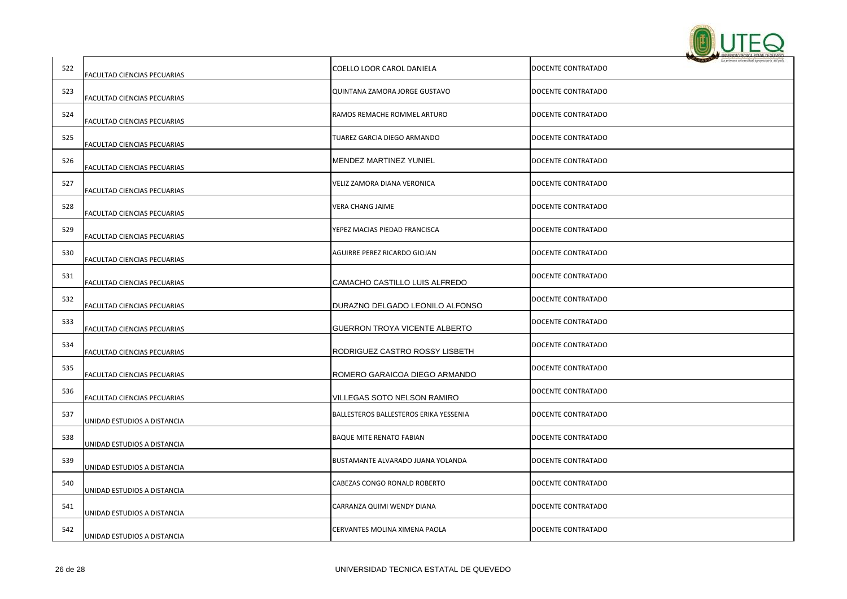

| 522 | FACULTAD CIENCIAS PECUARIAS | COELLO LOOR CAROL DANIELA              | DOCENTE CONTRATADO |
|-----|-----------------------------|----------------------------------------|--------------------|
| 523 | FACULTAD CIENCIAS PECUARIAS | QUINTANA ZAMORA JORGE GUSTAVO          | DOCENTE CONTRATADO |
| 524 | FACULTAD CIENCIAS PECUARIAS | RAMOS REMACHE ROMMEL ARTURO            | DOCENTE CONTRATADO |
| 525 | FACULTAD CIENCIAS PECUARIAS | TUAREZ GARCIA DIEGO ARMANDO            | DOCENTE CONTRATADO |
| 526 | FACULTAD CIENCIAS PECUARIAS | MENDEZ MARTINEZ YUNIEL                 | DOCENTE CONTRATADO |
| 527 | FACULTAD CIENCIAS PECUARIAS | VELIZ ZAMORA DIANA VERONICA            | DOCENTE CONTRATADO |
| 528 | FACULTAD CIENCIAS PECUARIAS | VERA CHANG JAIME                       | DOCENTE CONTRATADO |
| 529 | FACULTAD CIENCIAS PECUARIAS | YEPEZ MACIAS PIEDAD FRANCISCA          | DOCENTE CONTRATADO |
| 530 | FACULTAD CIENCIAS PECUARIAS | AGUIRRE PEREZ RICARDO GIOJAN           | DOCENTE CONTRATADO |
| 531 | FACULTAD CIENCIAS PECUARIAS | CAMACHO CASTILLO LUIS ALFREDO          | DOCENTE CONTRATADO |
| 532 | FACULTAD CIENCIAS PECUARIAS | DURAZNO DELGADO LEONILO ALFONSO        | DOCENTE CONTRATADO |
| 533 | FACULTAD CIENCIAS PECUARIAS | GUERRON TROYA VICENTE ALBERTO          | DOCENTE CONTRATADO |
| 534 | FACULTAD CIENCIAS PECUARIAS | RODRIGUEZ CASTRO ROSSY LISBETH         | DOCENTE CONTRATADO |
| 535 | FACULTAD CIENCIAS PECUARIAS | ROMERO GARAICOA DIEGO ARMANDO          | DOCENTE CONTRATADO |
| 536 | FACULTAD CIENCIAS PECUARIAS | VILLEGAS SOTO NELSON RAMIRO            | DOCENTE CONTRATADO |
| 537 | UNIDAD ESTUDIOS A DISTANCIA | BALLESTEROS BALLESTEROS ERIKA YESSENIA | DOCENTE CONTRATADO |
| 538 | UNIDAD ESTUDIOS A DISTANCIA | <b>BAQUE MITE RENATO FABIAN</b>        | DOCENTE CONTRATADO |
| 539 | UNIDAD ESTUDIOS A DISTANCIA | BUSTAMANTE ALVARADO JUANA YOLANDA      | DOCENTE CONTRATADO |
| 540 | UNIDAD ESTUDIOS A DISTANCIA | CABEZAS CONGO RONALD ROBERTO           | DOCENTE CONTRATADO |
| 541 | UNIDAD ESTUDIOS A DISTANCIA | CARRANZA QUIMI WENDY DIANA             | DOCENTE CONTRATADO |
| 542 | UNIDAD ESTUDIOS A DISTANCIA | CERVANTES MOLINA XIMENA PAOLA          | DOCENTE CONTRATADO |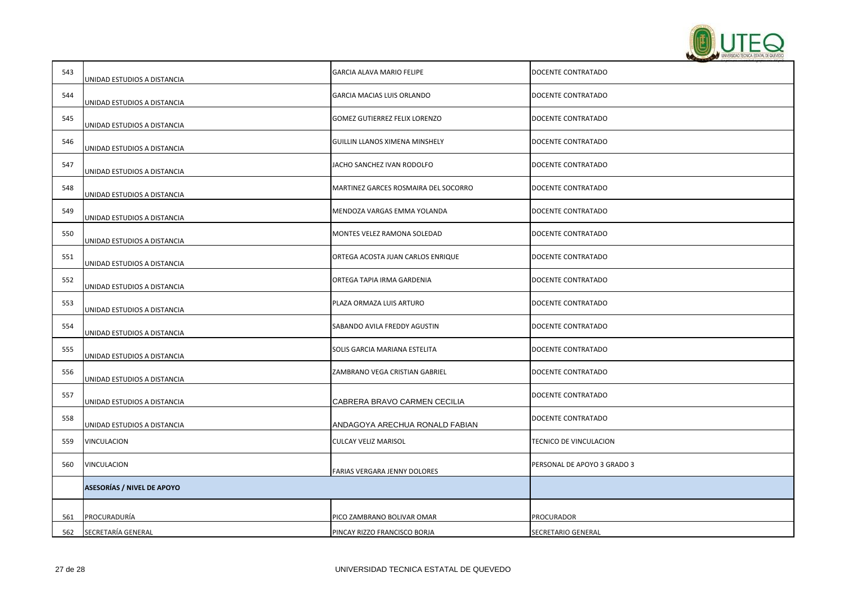

| 543 | UNIDAD ESTUDIOS A DISTANCIA       | GARCIA ALAVA MARIO FELIPE            | DOCENTE CONTRATADO          |
|-----|-----------------------------------|--------------------------------------|-----------------------------|
| 544 | UNIDAD ESTUDIOS A DISTANCIA       | GARCIA MACIAS LUIS ORLANDO           | DOCENTE CONTRATADO          |
| 545 | UNIDAD ESTUDIOS A DISTANCIA       | GOMEZ GUTIERREZ FELIX LORENZO        | DOCENTE CONTRATADO          |
| 546 | UNIDAD ESTUDIOS A DISTANCIA       | GUILLIN LLANOS XIMENA MINSHELY       | DOCENTE CONTRATADO          |
| 547 | UNIDAD ESTUDIOS A DISTANCIA       | JACHO SANCHEZ IVAN RODOLFO           | DOCENTE CONTRATADO          |
| 548 | UNIDAD ESTUDIOS A DISTANCIA       | MARTINEZ GARCES ROSMAIRA DEL SOCORRO | DOCENTE CONTRATADO          |
| 549 | UNIDAD ESTUDIOS A DISTANCIA       | MENDOZA VARGAS EMMA YOLANDA          | DOCENTE CONTRATADO          |
| 550 | UNIDAD ESTUDIOS A DISTANCIA       | MONTES VELEZ RAMONA SOLEDAD          | DOCENTE CONTRATADO          |
| 551 | UNIDAD ESTUDIOS A DISTANCIA       | ORTEGA ACOSTA JUAN CARLOS ENRIQUE    | DOCENTE CONTRATADO          |
| 552 | UNIDAD ESTUDIOS A DISTANCIA       | ORTEGA TAPIA IRMA GARDENIA           | DOCENTE CONTRATADO          |
| 553 | UNIDAD ESTUDIOS A DISTANCIA       | PLAZA ORMAZA LUIS ARTURO             | DOCENTE CONTRATADO          |
| 554 | UNIDAD ESTUDIOS A DISTANCIA       | SABANDO AVILA FREDDY AGUSTIN         | DOCENTE CONTRATADO          |
| 555 | UNIDAD ESTUDIOS A DISTANCIA       | SOLIS GARCIA MARIANA ESTELITA        | DOCENTE CONTRATADO          |
| 556 | UNIDAD ESTUDIOS A DISTANCIA       | ZAMBRANO VEGA CRISTIAN GABRIEL       | DOCENTE CONTRATADO          |
| 557 | UNIDAD ESTUDIOS A DISTANCIA       | CABRERA BRAVO CARMEN CECILIA         | DOCENTE CONTRATADO          |
| 558 | UNIDAD ESTUDIOS A DISTANCIA       | ANDAGOYA ARECHUA RONALD FABIAN       | DOCENTE CONTRATADO          |
| 559 | VINCULACION                       | <b>CULCAY VELIZ MARISOL</b>          | TECNICO DE VINCULACION      |
| 560 | VINCULACION                       | <b>FARIAS VERGARA JENNY DOLORES</b>  | PERSONAL DE APOYO 3 GRADO 3 |
|     | <b>ASESORÍAS / NIVEL DE APOYO</b> |                                      |                             |
| 561 | PROCURADURÍA                      | PICO ZAMBRANO BOLIVAR OMAR           | PROCURADOR                  |
| 562 | SECRETARÍA GENERAL                | PINCAY RIZZO FRANCISCO BORJA         | <b>SECRETARIO GENERAL</b>   |